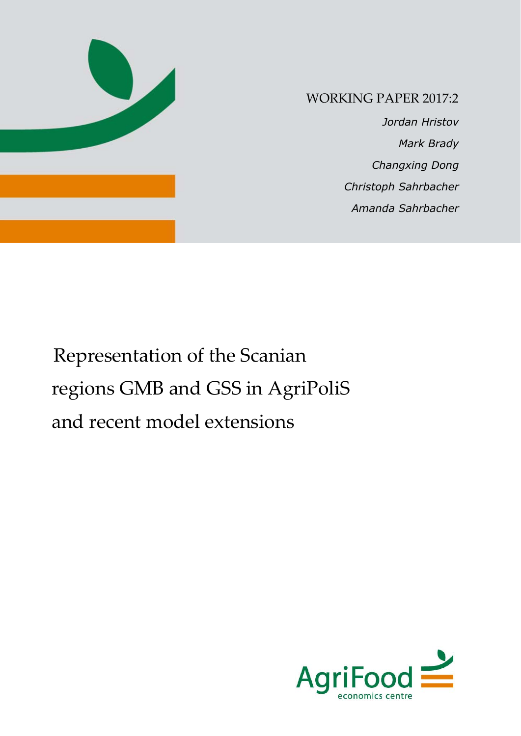

## WORKING PAPER 2017:2

 *Jordan Hristov Mark Brady Changxing Dong Christoph Sahrbacher Amanda Sahrbacher*

# Representation of the Scanian regions GMB and GSS in AgriPoliS and recent model extensions

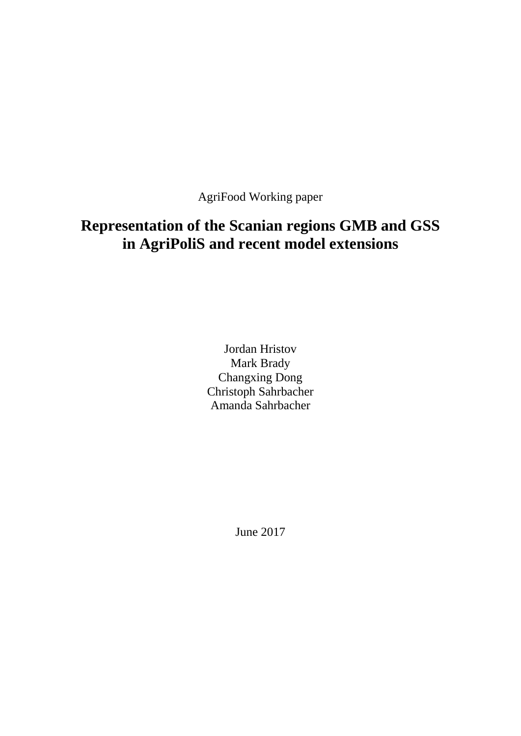AgriFood Working paper

# **Representation of the Scanian regions GMB and GSS in AgriPoliS and recent model extensions**

Jordan Hristov Mark Brady Changxing Dong Christoph Sahrbacher Amanda Sahrbacher

June 2017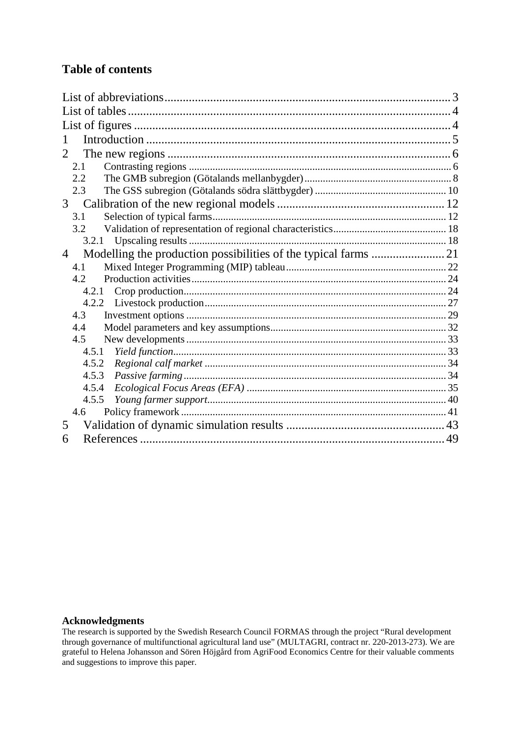### **Table of contents**

| 1              |  |
|----------------|--|
| 2              |  |
| 2.1            |  |
| 2.2            |  |
| 2.3            |  |
| 3 <sup>7</sup> |  |
| 3.1            |  |
| 3.2            |  |
| 3.2.1          |  |
| $\overline{4}$ |  |
| 4.1            |  |
| 4.2            |  |
| 4.2.1          |  |
| 4.2.2          |  |
| 4.3            |  |
| 4.4            |  |
| 4.5            |  |
| 4.5.1          |  |
| 4.5.2          |  |
| 4.5.3          |  |
| 4.5.4          |  |
| 4.5.5          |  |
| 4.6            |  |
| 5              |  |
| 6              |  |

### **Acknowledgments**

The research is supported by the Swedish Research Council FORMAS through the project "Rural development through governance of multifunctional agricultural land use" (MULTAGRI, contract nr. 220-2013-273). We are grateful to Helena Johansson and Sören Höjgård from AgriFood Economics Centre for their valuable comments and suggestions to improve this paper.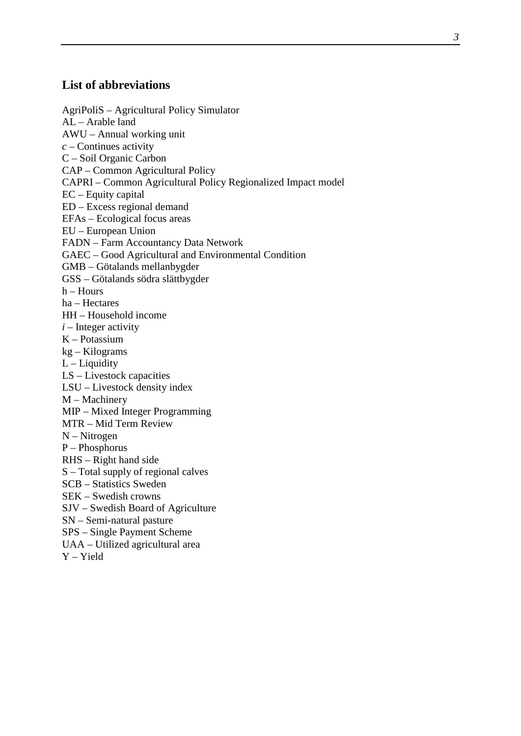### <span id="page-4-0"></span>**List of abbreviations**

AgriPoliS – Agricultural Policy Simulator AL – Arable land AWU – Annual working unit *c* – Continues activity C – Soil Organic Carbon CAP – Common Agricultural Policy CAPRI – Common Agricultural Policy Regionalized Impact model EC – Equity capital ED – Excess regional demand EFAs – Ecological focus areas EU – European Union FADN – Farm Accountancy Data Network GAEC – Good Agricultural and Environmental Condition GMB – Götalands mellanbygder GSS – Götalands södra slättbygder  $h -$  Hours ha – Hectares HH – Household income  $i$  – Integer activity K – Potassium kg – Kilograms L – Liquidity LS – Livestock capacities LSU – Livestock density index M – Machinery MIP – Mixed Integer Programming MTR – Mid Term Review N – Nitrogen P – Phosphorus RHS – Right hand side S – Total supply of regional calves SCB – Statistics Sweden SEK – Swedish crowns SJV – Swedish Board of Agriculture SN – Semi-natural pasture SPS – Single Payment Scheme UAA – Utilized agricultural area Y – Yield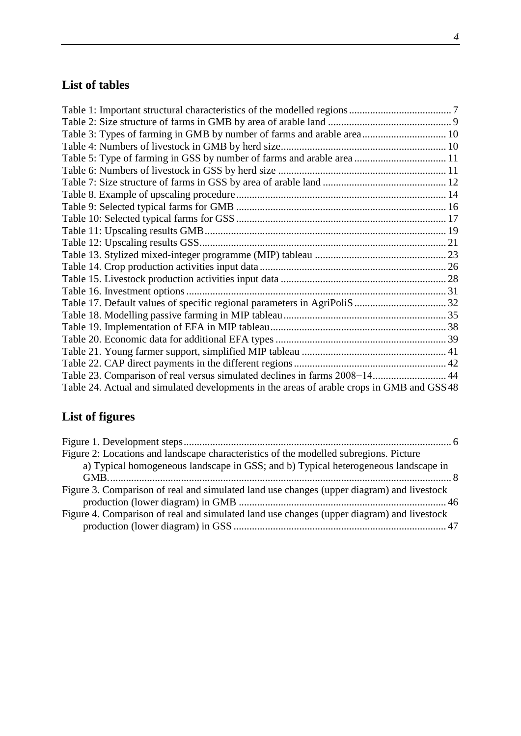# <span id="page-5-0"></span>**List of tables**

| Table 23. Comparison of real versus simulated declines in farms 2008-14 44                |  |
|-------------------------------------------------------------------------------------------|--|
| Table 24. Actual and simulated developments in the areas of arable crops in GMB and GSS48 |  |

# <span id="page-5-1"></span>**List of figures**

| Figure 2: Locations and landscape characteristics of the modelled subregions. Picture     |  |
|-------------------------------------------------------------------------------------------|--|
| a) Typical homogeneous landscape in GSS; and b) Typical heterogeneous landscape in        |  |
|                                                                                           |  |
| Figure 3. Comparison of real and simulated land use changes (upper diagram) and livestock |  |
|                                                                                           |  |
| Figure 4. Comparison of real and simulated land use changes (upper diagram) and livestock |  |
|                                                                                           |  |
|                                                                                           |  |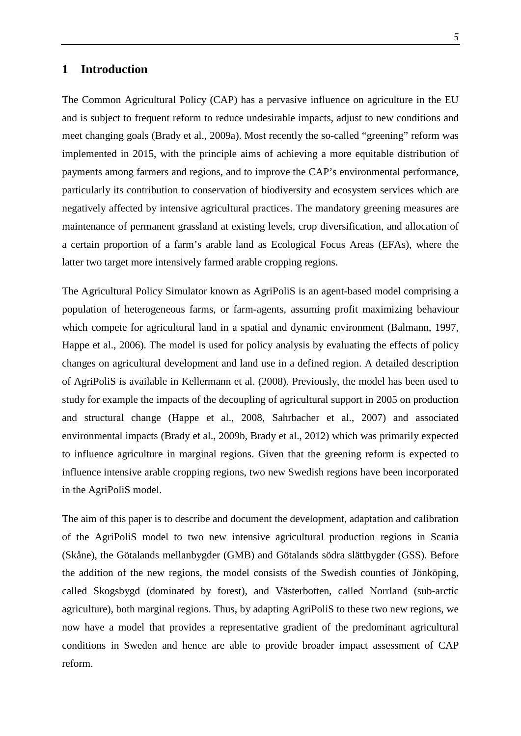### <span id="page-6-0"></span>**1 Introduction**

The Common Agricultural Policy (CAP) has a pervasive influence on agriculture in the EU and is subject to frequent reform to reduce undesirable impacts, adjust to new conditions and meet changing goals (Brady et al., 2009a). Most recently the so-called "greening" reform was implemented in 2015, with the principle aims of achieving a more equitable distribution of payments among farmers and regions, and to improve the CAP's environmental performance, particularly its contribution to conservation of biodiversity and ecosystem services which are negatively affected by intensive agricultural practices. The mandatory greening measures are maintenance of permanent grassland at existing levels, crop diversification, and allocation of a certain proportion of a farm's arable land as Ecological Focus Areas (EFAs), where the latter two target more intensively farmed arable cropping regions.

The Agricultural Policy Simulator known as AgriPoliS is an agent-based model comprising a population of heterogeneous farms, or farm-agents, assuming profit maximizing behaviour which compete for agricultural land in a spatial and dynamic environment (Balmann, 1997, Happe et al., 2006). The model is used for policy analysis by evaluating the effects of policy changes on agricultural development and land use in a defined region. A detailed description of AgriPoliS is available in Kellermann et al. (2008). Previously, the model has been used to study for example the impacts of the decoupling of agricultural support in 2005 on production and structural change (Happe et al., 2008, Sahrbacher et al., 2007) and associated environmental impacts (Brady et al., 2009b, Brady et al., 2012) which was primarily expected to influence agriculture in marginal regions. Given that the greening reform is expected to influence intensive arable cropping regions, two new Swedish regions have been incorporated in the AgriPoliS model.

The aim of this paper is to describe and document the development, adaptation and calibration of the AgriPoliS model to two new intensive agricultural production regions in Scania (Skåne), the Götalands mellanbygder (GMB) and Götalands södra slättbygder (GSS). Before the addition of the new regions, the model consists of the Swedish counties of Jönköping, called Skogsbygd (dominated by forest), and Västerbotten, called Norrland (sub-arctic agriculture), both marginal regions. Thus, by adapting AgriPoliS to these two new regions, we now have a model that provides a representative gradient of the predominant agricultural conditions in Sweden and hence are able to provide broader impact assessment of CAP reform.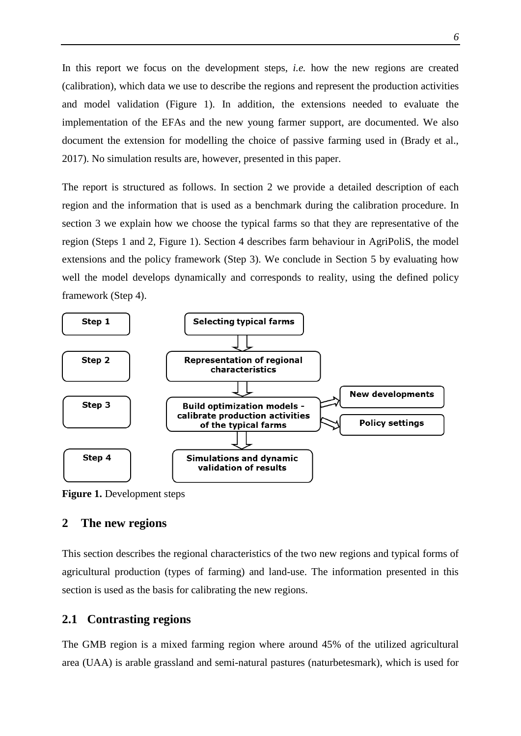In this report we focus on the development steps, *i.e.* how the new regions are created (calibration), which data we use to describe the regions and represent the production activities and model validation [\(Figure 1\)](#page-7-2). In addition, the extensions needed to evaluate the implementation of the EFAs and the new young farmer support, are documented. We also document the extension for modelling the choice of passive farming used in (Brady et al., 2017). No simulation results are, however, presented in this paper.

The report is structured as follows. In section 2 we provide a detailed description of each region and the information that is used as a benchmark during the calibration procedure. In section 3 we explain how we choose the typical farms so that they are representative of the region (Steps 1 and 2, [Figure 1\)](#page-7-2). Section 4 describes farm behaviour in AgriPoliS, the model extensions and the policy framework (Step 3). We conclude in Section 5 by evaluating how well the model develops dynamically and corresponds to reality, using the defined policy framework (Step 4).



<span id="page-7-2"></span>**Figure 1.** Development steps

### <span id="page-7-0"></span>**2 The new regions**

This section describes the regional characteristics of the two new regions and typical forms of agricultural production (types of farming) and land-use. The information presented in this section is used as the basis for calibrating the new regions.

### <span id="page-7-1"></span>**2.1 Contrasting regions**

The GMB region is a mixed farming region where around 45% of the utilized agricultural area (UAA) is arable grassland and semi-natural pastures (naturbetesmark), which is used for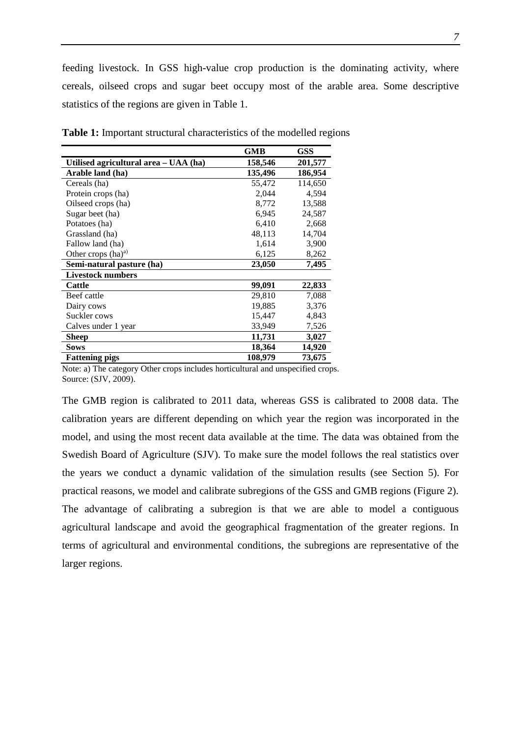feeding livestock. In GSS high-value crop production is the dominating activity, where cereals, oilseed crops and sugar beet occupy most of the arable area. Some descriptive statistics of the regions are given in Table 1.

|                                       | <b>GMB</b> | GSS     |
|---------------------------------------|------------|---------|
| Utilised agricultural area – UAA (ha) | 158,546    | 201,577 |
| Arable land (ha)                      | 135,496    | 186,954 |
| Cereals (ha)                          | 55,472     | 114,650 |
| Protein crops (ha)                    | 2,044      | 4,594   |
| Oilseed crops (ha)                    | 8,772      | 13,588  |
| Sugar beet (ha)                       | 6,945      | 24,587  |
| Potatoes (ha)                         | 6,410      | 2,668   |
| Grassland (ha)                        | 48,113     | 14,704  |
| Fallow land (ha)                      | 1,614      | 3,900   |
| Other crops $(ha)^a$                  | 6,125      | 8,262   |
| Semi-natural pasture (ha)             | 23,050     | 7,495   |
| <b>Livestock numbers</b>              |            |         |
| <b>Cattle</b>                         | 99,091     | 22,833  |
| Beef cattle                           | 29,810     | 7,088   |
| Dairy cows                            | 19,885     | 3,376   |
| Suckler cows                          | 15,447     | 4,843   |
| Calves under 1 year                   | 33,949     | 7,526   |
| Sheep                                 | 11,731     | 3,027   |
| <b>Sows</b>                           | 18,364     | 14,920  |
| <b>Fattening pigs</b>                 | 108,979    | 73,675  |

<span id="page-8-0"></span>**Table 1:** Important structural characteristics of the modelled regions

Note: a) The category Other crops includes horticultural and unspecified crops. Source: (SJV, 2009).

The GMB region is calibrated to 2011 data, whereas GSS is calibrated to 2008 data. The calibration years are different depending on which year the region was incorporated in the model, and using the most recent data available at the time. The data was obtained from the Swedish Board of Agriculture (SJV). To make sure the model follows the real statistics over the years we conduct a dynamic validation of the simulation results (see Section 5). For practical reasons, we model and calibrate subregions of the GSS and GMB regions [\(Figure 2\)](#page-9-2). The advantage of calibrating a subregion is that we are able to model a contiguous agricultural landscape and avoid the geographical fragmentation of the greater regions. In terms of agricultural and environmental conditions, the subregions are representative of the larger regions.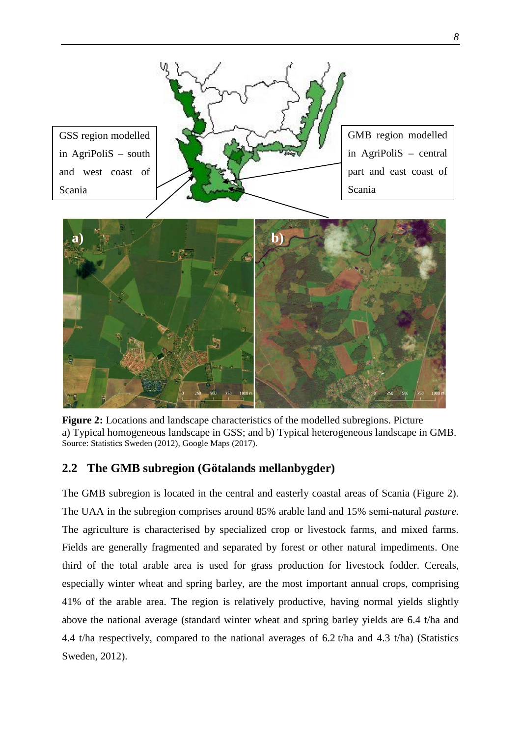<span id="page-9-2"></span>

<span id="page-9-1"></span>**Figure 2:** Locations and landscape characteristics of the modelled subregions. Picture a) Typical homogeneous landscape in GSS; and b) Typical heterogeneous landscape in GMB. Source: Statistics Sweden (2012), Google Maps (2017).

### <span id="page-9-0"></span>**2.2 The GMB subregion (Götalands mellanbygder)**

The GMB subregion is located in the central and easterly coastal areas of Scania [\(Figure 2\)](#page-9-2). The UAA in the subregion comprises around 85% arable land and 15% semi-natural *pasture*. The agriculture is characterised by specialized crop or livestock farms, and mixed farms. Fields are generally fragmented and separated by forest or other natural impediments. One third of the total arable area is used for grass production for livestock fodder. Cereals, especially winter wheat and spring barley, are the most important annual crops, comprising 41% of the arable area. The region is relatively productive, having normal yields slightly above the national average (standard winter wheat and spring barley yields are 6.4 t/ha and 4.4 t/ha respectively, compared to the national averages of 6.2 t/ha and 4.3 t/ha) (Statistics Sweden, 2012).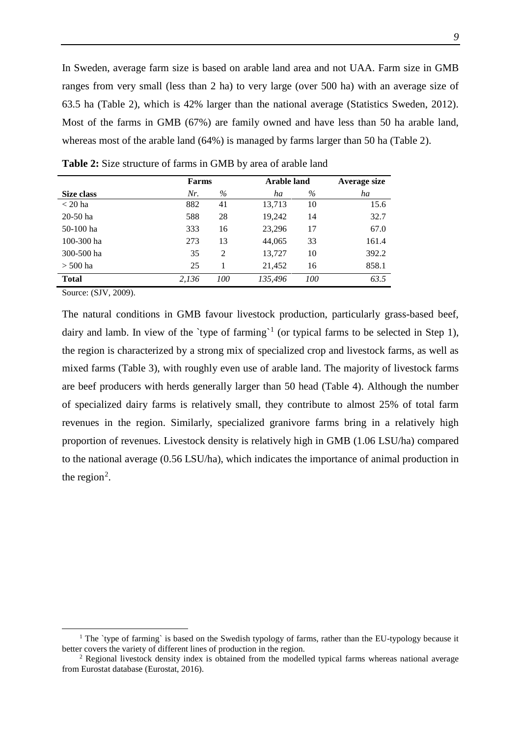In Sweden, average farm size is based on arable land area and not UAA. Farm size in GMB ranges from very small (less than 2 ha) to very large (over 500 ha) with an average size of 63.5 ha [\(Table 2\)](#page-10-0), which is 42% larger than the national average (Statistics Sweden, 2012). Most of the farms in GMB (67%) are family owned and have less than 50 ha arable land, whereas most of the arable land (64%) is managed by farms larger than 50 ha [\(Table 2\)](#page-10-0).

|            | Farms |      | <b>Arable land</b> |      | Average size |  |  |
|------------|-------|------|--------------------|------|--------------|--|--|
| Size class | Nr.   | $\%$ | ha                 | $\%$ | ha           |  |  |
| $<$ 20 ha  | 882   | 41   | 13,713             | 10   | 15.6         |  |  |
| $20-50$ ha | 588   | 28   | 19,242             | 14   | 32.7         |  |  |
| 50-100 ha  | 333   | 16   | 23,296             | 17   | 67.0         |  |  |
| 100-300 ha | 273   | 13   | 44,065             | 33   | 161.4        |  |  |
| 300-500 ha | 35    | 2    | 13,727             | 10   | 392.2        |  |  |
| $>$ 500 ha | 25    |      | 21,452             | 16   | 858.1        |  |  |
| Total      | 2.136 | 100  | 135.496            | 100  | 63.5         |  |  |

<span id="page-10-0"></span>**Table 2:** Size structure of farms in GMB by area of arable land

Source: (SJV, 2009).

The natural conditions in GMB favour livestock production, particularly grass-based beef, dairy and lamb. In view of the 'type of farming'<sup>[1](#page-10-1)</sup> (or typical farms to be selected in Step 1), the region is characterized by a strong mix of specialized crop and livestock farms, as well as mixed farms [\(Table 3\)](#page-11-1), with roughly even use of arable land. The majority of livestock farms are beef producers with herds generally larger than 50 head [\(Table](#page-11-2) 4). Although the number of specialized dairy farms is relatively small, they contribute to almost 25% of total farm revenues in the region. Similarly, specialized granivore farms bring in a relatively high proportion of revenues. Livestock density is relatively high in GMB (1.06 LSU/ha) compared to the national average (0.56 LSU/ha), which indicates the importance of animal production in the region<sup>[2](#page-10-2)</sup>.

<span id="page-10-1"></span><sup>&</sup>lt;sup>1</sup> The `type of farming` is based on the Swedish typology of farms, rather than the EU-typology because it better covers the variety of different lines of production in the region.

<span id="page-10-2"></span><sup>2</sup> Regional livestock density index is obtained from the modelled typical farms whereas national average from Eurostat database (Eurostat, 2016).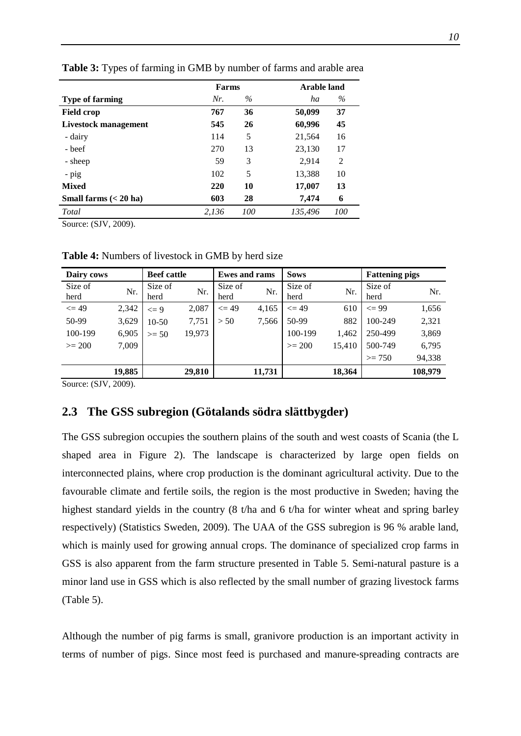|                               | Farms |      | <b>Arable land</b> |                |  |  |
|-------------------------------|-------|------|--------------------|----------------|--|--|
| <b>Type of farming</b>        | Nr.   | $\%$ | ha                 | $\%$           |  |  |
| <b>Field crop</b>             | 767   | 36   | 50,099             | 37             |  |  |
| <b>Livestock management</b>   | 545   | 26   | 60,996             | 45             |  |  |
| - dairy                       | 114   | 5    | 21,564             | 16             |  |  |
| - beef                        | 270   | 13   | 23,130             | 17             |  |  |
| - sheep                       | 59    | 3    | 2,914              | $\overline{2}$ |  |  |
| $-pig$                        | 102   | 5    | 13,388             | 10             |  |  |
| <b>Mixed</b>                  | 220   | 10   | 17,007             | 13             |  |  |
| Small farms $(20 \text{ ha})$ | 603   | 28   | 7,474              | 6              |  |  |
| Total                         | 2,136 | 100  | 135,496            | 100            |  |  |

<span id="page-11-1"></span>**Table 3:** Types of farming in GMB by number of farms and arable area

Source: (SJV, 2009).

| Dairy cows |        | <b>Beef</b> cattle |        | <b>Ewes and rams</b> |        | <b>Sows</b> |        | <b>Fattening pigs</b> |         |  |
|------------|--------|--------------------|--------|----------------------|--------|-------------|--------|-----------------------|---------|--|
| Size of    | Nr.    | Size of            | Nr.    | Size of              | Nr.    | Size of     | Nr.    | Size of               | Nr.     |  |
| herd       |        | herd               |        | herd                 |        | herd        |        | herd                  |         |  |
| $\leq$ 49  | 2,342  | $\leq$ 9           | 2,087  | $\leq$ 49            | 4,165  | $\leq$ 49   | 610    | $\leq$ 99             | 1,656   |  |
| 50-99      | 3,629  | $10-50$            | 7,751  | > 50                 | 7,566  | 50-99       | 882    | 100-249               | 2,321   |  |
| 100-199    | 6,905  | $>= 50$            | 19,973 |                      |        | 100-199     | 1,462  | 250-499               | 3,869   |  |
| $>= 200$   | 7,009  |                    |        |                      |        | $>= 200$    | 15,410 | 500-749               | 6,795   |  |
|            |        |                    |        |                      |        |             |        | $>= 750$              | 94,338  |  |
|            | 19,885 |                    | 29,810 |                      | 11,731 |             | 18,364 |                       | 108,979 |  |

<span id="page-11-2"></span>**Table 4:** Numbers of livestock in GMB by herd size

Source: (SJV, 2009).

### <span id="page-11-0"></span>**2.3 The GSS subregion (Götalands södra slättbygder)**

The GSS subregion occupies the southern plains of the south and west coasts of Scania (the L shaped area in [Figure 2\)](#page-9-2). The landscape is characterized by large open fields on interconnected plains, where crop production is the dominant agricultural activity. Due to the favourable climate and fertile soils, the region is the most productive in Sweden; having the highest standard yields in the country (8 t/ha and 6 t/ha for winter wheat and spring barley respectively) (Statistics Sweden, 2009). The UAA of the GSS subregion is 96 % arable land, which is mainly used for growing annual crops. The dominance of specialized crop farms in GSS is also apparent from the farm structure presented in [Table 5.](#page-12-0) Semi-natural pasture is a minor land use in GSS which is also reflected by the small number of grazing livestock farms [\(Table 5\)](#page-12-0).

Although the number of pig farms is small, granivore production is an important activity in terms of number of pigs. Since most feed is purchased and manure-spreading contracts are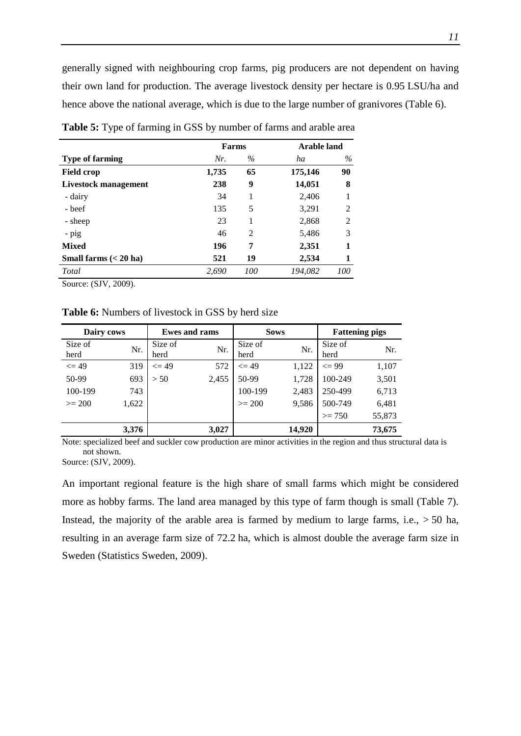generally signed with neighbouring crop farms, pig producers are not dependent on having their own land for production. The average livestock density per hectare is 0.95 LSU/ha and hence above the national average, which is due to the large number of granivores [\(Table 6\)](#page-12-1).

|                               | Farms |      | <b>Arable land</b> |      |  |  |
|-------------------------------|-------|------|--------------------|------|--|--|
| <b>Type of farming</b>        | Nr.   | $\%$ | ha                 | $\%$ |  |  |
| <b>Field crop</b>             | 1,735 | 65   | 175,146            | 90   |  |  |
| Livestock management          | 238   | 9    | 14,051             | 8    |  |  |
| - dairy                       | 34    | 1    | 2,406              |      |  |  |
| - beef                        | 135   | 5    | 3,291              | 2    |  |  |
| - sheep                       | 23    | 1    | 2,868              | 2    |  |  |
| - pig                         | 46    | 2    | 5,486              | 3    |  |  |
| <b>Mixed</b>                  | 196   | 7    | 2,351              | 1    |  |  |
| Small farms $(20 \text{ ha})$ | 521   | 19   | 2,534              | 1    |  |  |
| Total                         | 2.690 | 100  | 194.082            | 100  |  |  |

<span id="page-12-0"></span>**Table 5:** Type of farming in GSS by number of farms and arable area

Source: (SJV, 2009).

<span id="page-12-1"></span>**Table 6:** Numbers of livestock in GSS by herd size

| Dairy cows |       |           | <b>Ewes and rams</b> | <b>Sows</b> |        | <b>Fattening pigs</b> |        |  |
|------------|-------|-----------|----------------------|-------------|--------|-----------------------|--------|--|
| Size of    | Nr.   | Size of   | Nr.                  | Size of     | Nr.    | Size of               | Nr.    |  |
| herd       |       | herd      |                      | herd        |        | herd                  |        |  |
| $\leq$ 49  | 319   | $\leq$ 49 | 572                  | $\leq$ 49   | 1,122  | $\leq$ 99             | 1,107  |  |
| 50-99      | 693   | > 50      | 2,455                | 50-99       | 1,728  | 100-249               | 3,501  |  |
| 100-199    | 743   |           |                      | 100-199     | 2,483  | 250-499               | 6,713  |  |
| $>= 200$   | 1,622 |           |                      | $>= 200$    | 9,586  | 500-749               | 6,481  |  |
|            |       |           |                      |             |        | $>= 750$              | 55,873 |  |
|            | 3,376 |           | 3,027                |             | 14,920 |                       | 73,675 |  |

Note: specialized beef and suckler cow production are minor activities in the region and thus structural data is not shown.

Source: (SJV, 2009).

An important regional feature is the high share of small farms which might be considered more as hobby farms. The land area managed by this type of farm though is small [\(Table 7\)](#page-13-2). Instead, the majority of the arable area is farmed by medium to large farms, i.e.,  $> 50$  ha, resulting in an average farm size of 72.2 ha, which is almost double the average farm size in Sweden (Statistics Sweden, 2009).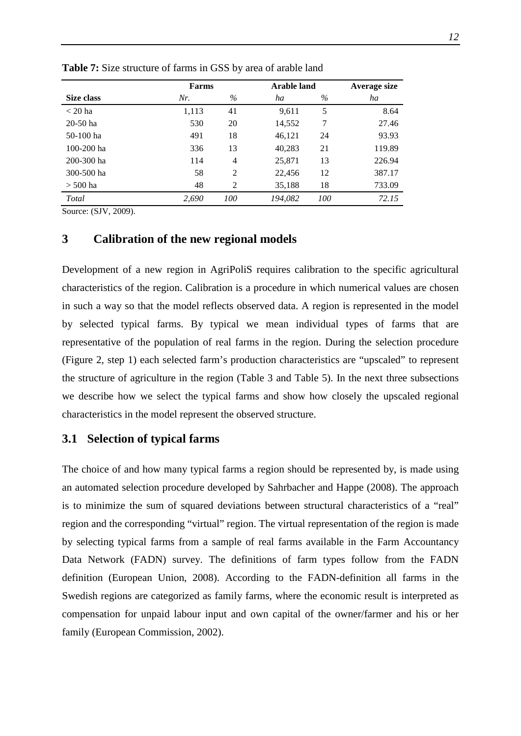|                | <b>Farms</b> |      | <b>Arable land</b> | Average size |        |
|----------------|--------------|------|--------------------|--------------|--------|
| Size class     | Nr.          | $\%$ | ha                 | $\%$         | ha     |
| $<$ 20 ha      | 1,113        | 41   | 9,611              | 5            | 8.64   |
| $20-50$ ha     | 530          | 20   | 14,552             | 7            | 27.46  |
| 50-100 ha      | 491          | 18   | 46,121             | 24           | 93.93  |
| $100 - 200$ ha | 336          | 13   | 40,283             | 21           | 119.89 |
| 200-300 ha     | 114          | 4    | 25,871             | 13           | 226.94 |
| 300-500 ha     | 58           | 2    | 22,456             | 12           | 387.17 |
| $>$ 500 ha     | 48           | 2    | 35,188             | 18           | 733.09 |
| Total          | 2,690        | 100  | 194.082            | 100          | 72.15  |

<span id="page-13-2"></span>**Table 7:** Size structure of farms in GSS by area of arable land

Source: (SJV, 2009).

### <span id="page-13-0"></span>**3 Calibration of the new regional models**

Development of a new region in AgriPoliS requires calibration to the specific agricultural characteristics of the region. Calibration is a procedure in which numerical values are chosen in such a way so that the model reflects observed data. A region is represented in the model by selected typical farms. By typical we mean individual types of farms that are representative of the population of real farms in the region. During the selection procedure (Figure 2, step 1) each selected farm's production characteristics are "upscaled" to represent the structure of agriculture in the region [\(Table 3](#page-11-1) and [Table 5\)](#page-12-0). In the next three subsections we describe how we select the typical farms and show how closely the upscaled regional characteristics in the model represent the observed structure.

### <span id="page-13-1"></span>**3.1 Selection of typical farms**

The choice of and how many typical farms a region should be represented by, is made using an automated selection procedure developed by Sahrbacher and Happe (2008). The approach is to minimize the sum of squared deviations between structural characteristics of a "real" region and the corresponding "virtual" region. The virtual representation of the region is made by selecting typical farms from a sample of real farms available in the Farm Accountancy Data Network (FADN) survey. The definitions of farm types follow from the FADN definition (European Union, 2008). According to the FADN-definition all farms in the Swedish regions are categorized as family farms, where the economic result is interpreted as compensation for unpaid labour input and own capital of the owner/farmer and his or her family (European Commission, 2002).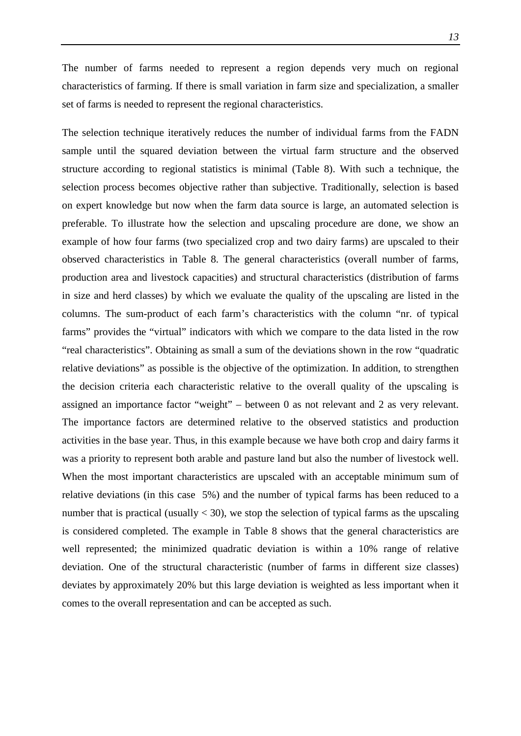The number of farms needed to represent a region depends very much on regional characteristics of farming. If there is small variation in farm size and specialization, a smaller set of farms is needed to represent the regional characteristics.

The selection technique iteratively reduces the number of individual farms from the FADN sample until the squared deviation between the virtual farm structure and the observed structure according to regional statistics is minimal [\(Table 8\)](#page-15-0). With such a technique, the selection process becomes objective rather than subjective. Traditionally, selection is based on expert knowledge but now when the farm data source is large, an automated selection is preferable. To illustrate how the selection and upscaling procedure are done, we show an example of how four farms (two specialized crop and two dairy farms) are upscaled to their observed characteristics in [Table 8.](#page-15-0) The general characteristics (overall number of farms, production area and livestock capacities) and structural characteristics (distribution of farms in size and herd classes) by which we evaluate the quality of the upscaling are listed in the columns. The sum-product of each farm's characteristics with the column "nr. of typical farms" provides the "virtual" indicators with which we compare to the data listed in the row "real characteristics". Obtaining as small a sum of the deviations shown in the row "quadratic relative deviations" as possible is the objective of the optimization. In addition, to strengthen the decision criteria each characteristic relative to the overall quality of the upscaling is assigned an importance factor "weight" – between 0 as not relevant and 2 as very relevant. The importance factors are determined relative to the observed statistics and production activities in the base year. Thus, in this example because we have both crop and dairy farms it was a priority to represent both arable and pasture land but also the number of livestock well. When the most important characteristics are upscaled with an acceptable minimum sum of relative deviations (in this case 5%) and the number of typical farms has been reduced to a number that is practical (usually  $<$  30), we stop the selection of typical farms as the upscaling is considered completed. The example in [Table 8](#page-15-0) shows that the general characteristics are well represented; the minimized quadratic deviation is within a 10% range of relative deviation. One of the structural characteristic (number of farms in different size classes) deviates by approximately 20% but this large deviation is weighted as less important when it comes to the overall representation and can be accepted as such.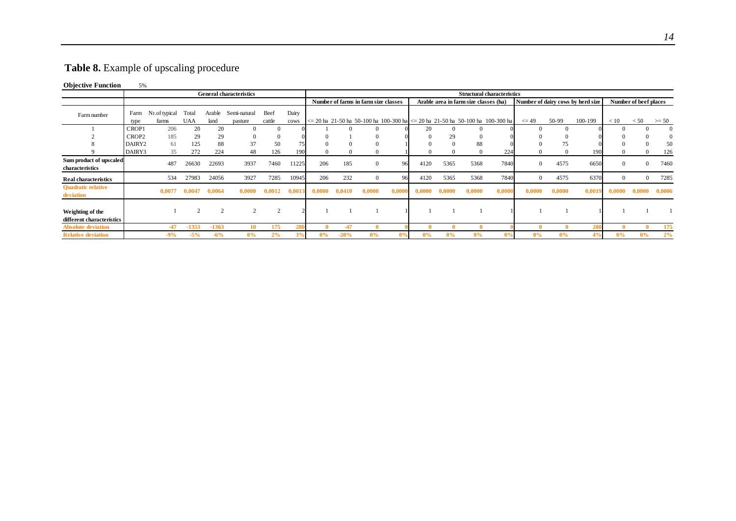### **Table 8.** Example of upscaling procedure

#### **Objective Function** 5%

<span id="page-15-0"></span>

|                                               |              |                        |                     |                | <b>General characteristics</b> |                |               |        |        |                                      |        | <b>Structural characteristics</b> |        |                                       |                                                                                                   |            |          |                                   |          |                       |              |
|-----------------------------------------------|--------------|------------------------|---------------------|----------------|--------------------------------|----------------|---------------|--------|--------|--------------------------------------|--------|-----------------------------------|--------|---------------------------------------|---------------------------------------------------------------------------------------------------|------------|----------|-----------------------------------|----------|-----------------------|--------------|
|                                               |              |                        |                     |                |                                |                |               |        |        | Number of farms in farm size classes |        |                                   |        | Arable area in farm size classes (ha) |                                                                                                   |            |          | Number of dairy cows by herd size |          | Number of beef places |              |
| Farm number                                   | Farm<br>type | Nr.of typical<br>farms | Total<br><b>UAA</b> | Arable<br>land | Semi-natural<br>pasture        | Beef<br>cattle | Dairy<br>cows |        |        |                                      |        |                                   |        |                                       | $\epsilon$ = 20 ha 21-50 ha 50-100 ha 100-300 ha $\epsilon$ = 20 ha 21-50 ha 50-100 ha 100-300 ha | $\leq$ 49  | 50-99    | 100-199                           | < 10     | < 50                  | $>= 50$      |
|                                               | CROP1        | 206                    | 20                  | 20             | $\Omega$                       | $\Omega$       |               |        |        | 0                                    |        | 20                                | 0      |                                       |                                                                                                   | $^{\circ}$ | $\Omega$ |                                   |          |                       | $\Omega$     |
|                                               | CROP2        | 185                    | 29                  | 29             | $\Omega$                       | $\theta$       |               |        |        | $^{(1)}$                             |        |                                   | 29     |                                       |                                                                                                   |            |          |                                   |          |                       | $\mathbf{0}$ |
|                                               | DAIRY2       | 61                     | 125                 | 88             | 37                             | 50             |               |        |        | 0                                    |        |                                   |        | 88                                    |                                                                                                   |            | 75       |                                   |          |                       | 50           |
|                                               | DAIRY3       | 35                     | 272                 | 224            | 48                             | 126            | 190           |        |        |                                      |        |                                   |        |                                       | 224                                                                                               |            |          | 190                               |          |                       | 126          |
| Sum product of upscaled<br>characteristics    |              | 487                    | 26630               | 22693          | 3937                           | 7460           | 11225         | 206    | 185    | $\mathbf{0}$                         | 96     | 4120                              | 5365   | 5368                                  | 7840                                                                                              | $\Omega$   | 4575     | 6650                              | $\Omega$ | 0                     | 7460         |
| <b>Real characteristics</b>                   |              | 534                    | 27983               | 24056          | 3927                           | 7285           | 10945         | 206    | 232    | $\mathbf{0}$                         | 96     | 4120                              | 5365   | 5368                                  | 7840                                                                                              | $\Omega$   | 4575     | 6370                              | $\theta$ | $\Omega$              | 7285         |
| <b>Ouadratic relative</b><br>deviation        |              | 0,0077                 | 0,0047              | 0,0064         | 0,0000                         | 0,0012         | 0,0013        | 0,0000 | 0,0410 | 0,0000                               | 0,0000 | 0.0000                            | 0.0000 | 0,0000                                | 0,0000                                                                                            | 0,0000     | 0,0000   | 0,0019                            | 0,0000   | 0,0000                | 0,0006       |
| Weighting of the<br>different characteristics |              |                        | $\Omega$            | $\overline{2}$ | $\overline{2}$                 | 2              |               |        |        |                                      |        |                                   |        |                                       |                                                                                                   |            |          |                                   |          |                       |              |
| <b>Absolute deviation</b>                     |              | $-47$                  | $-1353$             | $-1363$        | 10                             | 175            | 280           |        | $-47$  |                                      |        |                                   |        |                                       |                                                                                                   |            |          | 280                               |          |                       | 175          |
| <b>Relative deviation</b>                     |              | $-9%$                  | $-5%$               | $-6%$          | $0\%$                          | 2%             | 3%            | 0%     | $-20%$ | $0\%$                                | 0%     | 0%                                | 0%     | 0%                                    | 0%                                                                                                | 0%         | 0%       | 4%                                | $0\%$    | 0%                    | 2%           |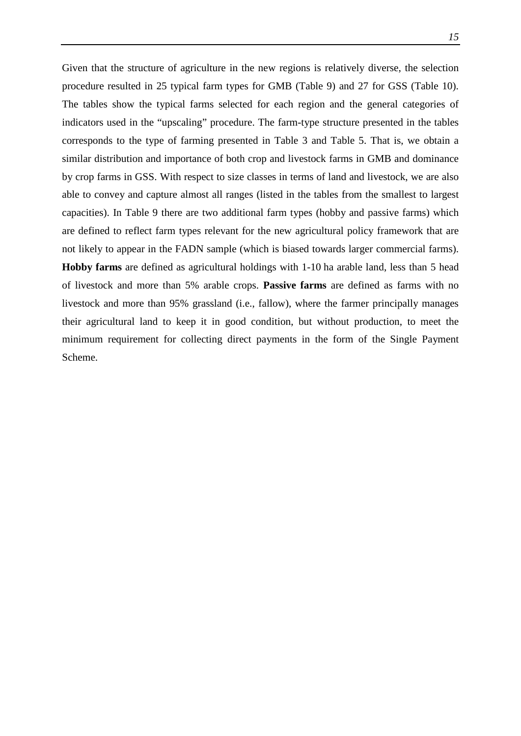Given that the structure of agriculture in the new regions is relatively diverse, the selection procedure resulted in 25 typical farm types for GMB [\(Table 9\)](#page-17-0) and 27 for GSS [\(Table 10\)](#page-18-0). The tables show the typical farms selected for each region and the general categories of indicators used in the "upscaling" procedure. The farm-type structure presented in the tables corresponds to the type of farming presented in [Table 3](#page-11-1) and [Table 5.](#page-12-0) That is, we obtain a similar distribution and importance of both crop and livestock farms in GMB and dominance by crop farms in GSS. With respect to size classes in terms of land and livestock, we are also able to convey and capture almost all ranges (listed in the tables from the smallest to largest capacities). In [Table 9](#page-17-0) there are two additional farm types (hobby and passive farms) which are defined to reflect farm types relevant for the new agricultural policy framework that are not likely to appear in the FADN sample (which is biased towards larger commercial farms). **Hobby farms** are defined as agricultural holdings with 1-10 ha arable land, less than 5 head of livestock and more than 5% arable crops. **Passive farms** are defined as farms with no livestock and more than 95% grassland (i.e., fallow), where the farmer principally manages their agricultural land to keep it in good condition, but without production, to meet the minimum requirement for collecting direct payments in the form of the Single Payment Scheme.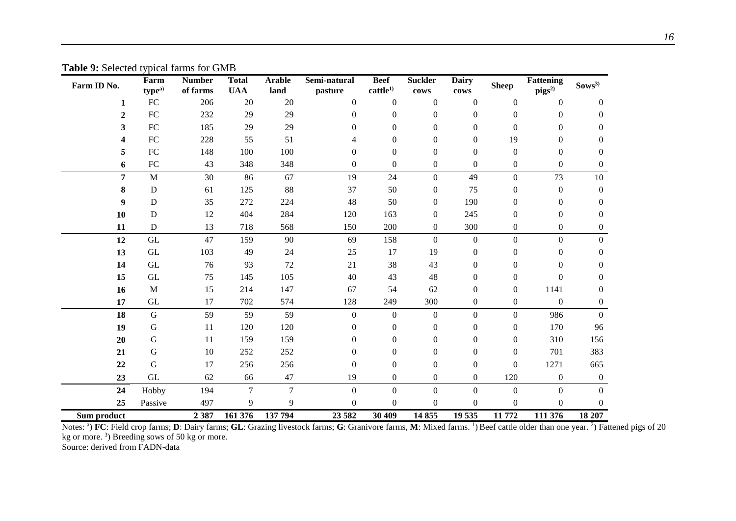| Farm ID No.  | Farm<br>type <sup>a)</sup> | <b>Number</b><br>of farms | <b>Total</b><br><b>UAA</b> | <b>Arable</b><br>land | Semi-natural<br>pasture | <b>Beef</b><br>cattle <sup>1</sup> | <b>Suckler</b><br>cows | <b>Dairy</b><br>${\bf \overline{covs}}$ | <b>Sheep</b>     | <b>Fattening</b><br>$pigs^{2)}$ | Sows <sup>3</sup> |
|--------------|----------------------------|---------------------------|----------------------------|-----------------------|-------------------------|------------------------------------|------------------------|-----------------------------------------|------------------|---------------------------------|-------------------|
| $\mathbf{1}$ | ${\rm FC}$                 | 206                       | 20                         | 20                    | $\boldsymbol{0}$        | $\mathbf{0}$                       | $\boldsymbol{0}$       | $\boldsymbol{0}$                        | $\boldsymbol{0}$ | $\boldsymbol{0}$                | $\boldsymbol{0}$  |
| $\mathbf{2}$ | FC                         | 232                       | 29                         | 29                    | $\boldsymbol{0}$        | $\boldsymbol{0}$                   | $\boldsymbol{0}$       | $\boldsymbol{0}$                        | $\boldsymbol{0}$ | $\boldsymbol{0}$                | $\mathbf{0}$      |
| 3            | ${\rm FC}$                 | 185                       | 29                         | 29                    | $\overline{0}$          | $\overline{0}$                     | $\overline{0}$         | $\boldsymbol{0}$                        | $\boldsymbol{0}$ | $\overline{0}$                  | $\Omega$          |
| 4            | ${\rm FC}$                 | 228                       | 55                         | 51                    | 4                       | $\overline{0}$                     | $\overline{0}$         | $\mathbf{0}$                            | 19               | $\boldsymbol{0}$                | $\overline{0}$    |
| 5            | ${\rm FC}$                 | 148                       | 100                        | 100                   | $\boldsymbol{0}$        | $\overline{0}$                     | $\overline{0}$         | $\mathbf{0}$                            | $\boldsymbol{0}$ | $\boldsymbol{0}$                | $\theta$          |
| 6            | ${\rm FC}$                 | 43                        | 348                        | 348                   | $\overline{0}$          | $\overline{0}$                     | $\overline{0}$         | $\mathbf{0}$                            | $\boldsymbol{0}$ | $\overline{0}$                  | $\overline{0}$    |
| 7            | $\mathbf M$                | 30                        | 86                         | 67                    | 19                      | 24                                 | $\Omega$               | 49                                      | $\boldsymbol{0}$ | 73                              | 10                |
| 8            | D                          | 61                        | 125                        | 88                    | 37                      | 50                                 | $\mathbf{0}$           | 75                                      | $\boldsymbol{0}$ | $\boldsymbol{0}$                | $\boldsymbol{0}$  |
| 9            | D                          | 35                        | 272                        | 224                   | 48                      | 50                                 | $\Omega$               | 190                                     | $\boldsymbol{0}$ | 0                               | $\theta$          |
| 10           | D                          | 12                        | 404                        | 284                   | 120                     | 163                                | $\mathbf{0}$           | 245                                     | $\mathbf{0}$     | 0                               | $\theta$          |
| 11           | ${\bf D}$                  | 13                        | 718                        | 568                   | 150                     | 200                                | $\overline{0}$         | 300                                     | $\boldsymbol{0}$ | $\boldsymbol{0}$                | $\boldsymbol{0}$  |
| 12           | $\operatorname{GL}$        | 47                        | 159                        | 90                    | 69                      | 158                                | $\Omega$               | $\boldsymbol{0}$                        | $\boldsymbol{0}$ | $\boldsymbol{0}$                | $\mathbf{0}$      |
| 13           | $\operatorname{GL}$        | 103                       | 49                         | 24                    | 25                      | 17                                 | 19                     | $\boldsymbol{0}$                        | $\boldsymbol{0}$ | 0                               | $\theta$          |
| 14           | GL                         | 76                        | 93                         | 72                    | 21                      | 38                                 | 43                     | $\mathbf{0}$                            | $\boldsymbol{0}$ | $\overline{0}$                  | $\theta$          |
| 15           | GL                         | 75                        | 145                        | 105                   | 40                      | 43                                 | 48                     | $\boldsymbol{0}$                        | $\boldsymbol{0}$ | $\boldsymbol{0}$                | $\theta$          |
| 16           | $\mathbf M$                | 15                        | 214                        | 147                   | 67                      | 54                                 | 62                     | $\boldsymbol{0}$                        | $\boldsymbol{0}$ | 1141                            | $\theta$          |
| 17           | GL                         | 17                        | 702                        | 574                   | 128                     | 249                                | 300                    | $\boldsymbol{0}$                        | $\boldsymbol{0}$ | $\boldsymbol{0}$                | $\boldsymbol{0}$  |
| 18           | ${\bf G}$                  | 59                        | 59                         | 59                    | $\boldsymbol{0}$        | $\boldsymbol{0}$                   | $\boldsymbol{0}$       | $\boldsymbol{0}$                        | $\boldsymbol{0}$ | 986                             | $\boldsymbol{0}$  |
| 19           | $\mathbf G$                | 11                        | 120                        | 120                   | $\boldsymbol{0}$        | $\boldsymbol{0}$                   | 0                      | $\boldsymbol{0}$                        | $\boldsymbol{0}$ | 170                             | 96                |
| 20           | G                          | 11                        | 159                        | 159                   | $\boldsymbol{0}$        | $\overline{0}$                     | $\mathbf{0}$           | $\boldsymbol{0}$                        | $\boldsymbol{0}$ | 310                             | 156               |
| 21           | $\mathbf G$                | $10\,$                    | 252                        | 252                   | $\boldsymbol{0}$        | $\boldsymbol{0}$                   | $\boldsymbol{0}$       | $\boldsymbol{0}$                        | $\boldsymbol{0}$ | 701                             | 383               |
| 22           | G                          | 17                        | 256                        | 256                   | $\boldsymbol{0}$        | $\boldsymbol{0}$                   | $\overline{0}$         | $\mathbf{0}$                            | $\boldsymbol{0}$ | 1271                            | 665               |
| 23           | $\operatorname{GL}$        | 62                        | 66                         | 47                    | 19                      | $\boldsymbol{0}$                   | $\overline{0}$         | $\boldsymbol{0}$                        | 120              | $\boldsymbol{0}$                | $\boldsymbol{0}$  |
| 24           | Hobby                      | 194                       | 7                          | $\overline{7}$        | $\boldsymbol{0}$        | $\mathbf{0}$                       | $\boldsymbol{0}$       | $\boldsymbol{0}$                        | $\boldsymbol{0}$ | $\boldsymbol{0}$                | $\mathbf{0}$      |
| 25           | Passive                    | 497                       | 9                          | 9                     | $\boldsymbol{0}$        | $\boldsymbol{0}$                   | $\boldsymbol{0}$       | $\boldsymbol{0}$                        | $\boldsymbol{0}$ | $\boldsymbol{0}$                | $\boldsymbol{0}$  |
| Sum product  |                            | 2 3 8 7                   | 161 376                    | 137 794               | 23 5 82                 | 30 409                             | 14855                  | 19 535                                  | 11772            | 111 376                         | 18 207            |

**Table 9:** Selected typical farms for GMB

<span id="page-17-0"></span>Notes: <sup>a</sup>) FC: Field crop farms; D: Dairy farms; GL: Grazing livestock farms; G: Granivore farms, M: Mixed farms. <sup>1</sup>) Beef cattle older than one year. <sup>2</sup>) Fattened pigs of 20 kg or more. 3 ) Breeding sows of 50 kg or more.

Source: derived from FADN-data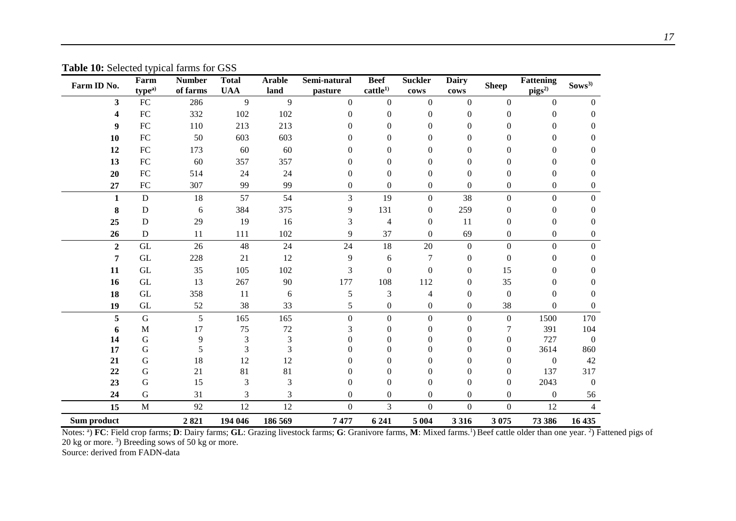| Farm ID No.      | Farm<br>type <sup>a</sup> | <b>Number</b><br>of farms | <b>Total</b><br><b>UAA</b> | <b>Arable</b><br>land | Semi-natural<br>pasture | <b>Beef</b><br>cattle <sup>1</sup> | <b>Suckler</b><br>cows | <b>Dairy</b><br>${\bf \overline{covs}}$ | <b>Sheep</b>     | <b>Fattening</b><br>$\mathbf{pigs}^{20}$ | $Sows^{3)}$      |
|------------------|---------------------------|---------------------------|----------------------------|-----------------------|-------------------------|------------------------------------|------------------------|-----------------------------------------|------------------|------------------------------------------|------------------|
| 3                | ${\rm FC}$                | 286                       | 9                          | 9                     | $\boldsymbol{0}$        | $\mathbf{0}$                       | $\mathbf{0}$           | $\boldsymbol{0}$                        | $\overline{0}$   | $\boldsymbol{0}$                         | $\boldsymbol{0}$ |
| 4                | ${\rm FC}$                | 332                       | 102                        | 102                   | $\theta$                | $\Omega$                           | $\theta$               | 0                                       | $\Omega$         | 0                                        | $\boldsymbol{0}$ |
| 9                | ${\rm FC}$                | 110                       | 213                        | 213                   | 0                       | $\theta$                           | $\overline{0}$         | $\mathbf{0}$                            | $\theta$         | 0                                        | $\mathbf{0}$     |
| 10               | ${\rm FC}$                | 50                        | 603                        | 603                   | 0                       | $\Omega$                           | $\Omega$               | $\Omega$                                | 0                | 0                                        | $\theta$         |
| 12               | ${\rm FC}$                | 173                       | 60                         | 60                    | 0                       | $\Omega$                           | $\theta$               | 0                                       | 0                | 0                                        | 0                |
| 13               | ${\rm FC}$                | 60                        | 357                        | 357                   | 0                       | $\Omega$                           | $\Omega$               | 0                                       | 0                | 0                                        | $\mathbf{0}$     |
| 20               | ${\rm FC}$                | 514                       | 24                         | 24                    | $\overline{0}$          | $\boldsymbol{0}$                   | $\theta$               | $\theta$                                | $\overline{0}$   | $\overline{0}$                           | $\mathbf{0}$     |
| 27               | FC                        | 307                       | 99                         | 99                    | $\boldsymbol{0}$        | $\mathbf{0}$                       | $\overline{0}$         | $\boldsymbol{0}$                        | $\overline{0}$   | $\overline{0}$                           | $\boldsymbol{0}$ |
| $\mathbf{1}$     | ${\bf D}$                 | 18                        | 57                         | 54                    | 3                       | 19                                 | $\Omega$               | 38                                      | $\boldsymbol{0}$ | $\boldsymbol{0}$                         | $\boldsymbol{0}$ |
| 8                | D                         | 6                         | 384                        | 375                   | 9                       | 131                                | $\theta$               | 259                                     | $\theta$         | 0                                        | $\mathbf{0}$     |
| 25               | $\mathbf D$               | 29                        | 19                         | 16                    | 3                       | 4                                  | $\Omega$               | 11                                      | $\overline{0}$   | $\theta$                                 | $\mathbf{0}$     |
| 26               | ${\bf D}$                 | 11                        | 111                        | 102                   | 9                       | 37                                 | $\theta$               | 69                                      | 0                | 0                                        | $\boldsymbol{0}$ |
| $\boldsymbol{2}$ | $\operatorname{GL}$       | 26                        | 48                         | 24                    | 24                      | 18                                 | 20                     | $\boldsymbol{0}$                        | $\overline{0}$   | $\boldsymbol{0}$                         | $\overline{0}$   |
| 7                | $\operatorname{GL}$       | 228                       | 21                         | 12                    | 9                       | 6                                  | $\tau$                 | $\mathbf{0}$                            | $\Omega$         | 0                                        | $\boldsymbol{0}$ |
| 11               | GL                        | 35                        | 105                        | 102                   | 3                       | $\boldsymbol{0}$                   | $\Omega$               | $\theta$                                | 15               | 0                                        | $\Omega$         |
| 16               | GL                        | 13                        | 267                        | 90                    | 177                     | 108                                | 112                    | $\boldsymbol{0}$                        | 35               | 0                                        | $\overline{0}$   |
| 18               | $\operatorname{GL}$       | 358                       | 11                         | 6                     | $\mathfrak s$           | 3                                  | 4                      | $\theta$                                | $\mathbf{0}$     | $\theta$                                 | $\mathbf{0}$     |
| 19               | GL                        | 52                        | 38                         | 33                    | 5                       | $\boldsymbol{0}$                   | $\theta$               | $\boldsymbol{0}$                        | 38               | 0                                        | $\Omega$         |
| 5                | $\mathbf G$               | 5                         | 165                        | 165                   | $\boldsymbol{0}$        | $\Omega$                           | $\Omega$               | $\boldsymbol{0}$                        | $\mathbf{0}$     | 1500                                     | 170              |
| 6                | M                         | 17                        | 75                         | $72\,$                | 3                       | $\Omega$                           | $\theta$               | $\Omega$                                | 7                | 391                                      | 104              |
| 14               | ${\bf G}$                 | 9                         | $\mathfrak 3$              | $\mathfrak{Z}$        | $\overline{0}$          | $\theta$                           | $\overline{0}$         | 0                                       | $\theta$         | 727                                      | $\boldsymbol{0}$ |
| 17               | $\mathbf G$               | 5                         | 3                          | 3                     | $\overline{0}$          | $\theta$                           | $\overline{0}$         | $\theta$                                | $\overline{0}$   | 3614                                     | 860              |
| 21               | $\mathbf G$               | 18                        | 12                         | 12                    | 0                       | 0                                  | $\Omega$               | $\Omega$                                | 0                | $\boldsymbol{0}$                         | 42               |
| 22               | ${\bf G}$                 | 21                        | 81                         | 81                    | 0                       | $\Omega$                           | $\Omega$               | 0                                       | 0                | 137                                      | 317              |
| 23               | $\mathbf G$               | 15                        | 3                          | 3                     | $\boldsymbol{0}$        | $\theta$                           | $\theta$               | $\boldsymbol{0}$                        | $\overline{0}$   | 2043                                     | $\mathbf{0}$     |
| 24               | ${\bf G}$                 | 31                        | 3                          | 3                     | $\overline{0}$          | $\theta$                           | $\Omega$               | $\mathbf{0}$                            | $\Omega$         | $\mathbf{0}$                             | 56               |
| 15               | M                         | 92                        | 12                         | 12                    | $\boldsymbol{0}$        | 3                                  | $\boldsymbol{0}$       | $\overline{0}$                          | $\overline{0}$   | 12                                       | $\overline{4}$   |
| Sum product      |                           | 2821                      | 194 046                    | 186 569               | 7477                    | 6 2 4 1                            | 5 0 0 4                | 3 3 1 6                                 | 3 0 7 5          | 73 386                                   | 16 435           |

**Table 10:** Selected typical farms for GSS

<span id="page-18-0"></span>Notes: <sup>a</sup>) FC: Field crop farms; D: Dairy farms; GL: Grazing livestock farms; G: Granivore farms, M: Mixed farms.<sup>1</sup>) Beef cattle older than one year. <sup>2</sup>) Fattened pigs of 20 kg or more. 3 ) Breeding sows of 50 kg or more.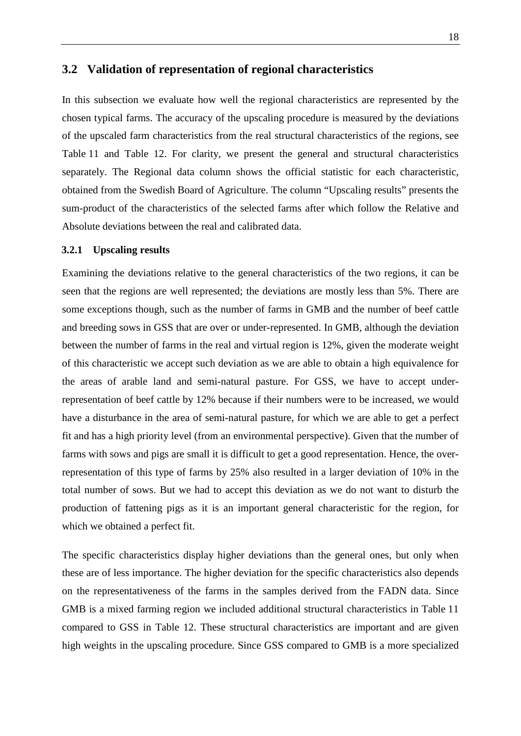### <span id="page-19-0"></span>**3.2 Validation of representation of regional characteristics**

In this subsection we evaluate how well the regional characteristics are represented by the chosen typical farms. The accuracy of the upscaling procedure is measured by the deviations of the upscaled farm characteristics from the real structural characteristics of the regions, see [Table](#page-20-0) 11 and [Table 12.](#page-22-1) For clarity, we present the general and structural characteristics separately. The Regional data column shows the official statistic for each characteristic, obtained from the Swedish Board of Agriculture. The column "Upscaling results" presents the sum-product of the characteristics of the selected farms after which follow the Relative and Absolute deviations between the real and calibrated data.

#### <span id="page-19-1"></span>**3.2.1 Upscaling results**

Examining the deviations relative to the general characteristics of the two regions, it can be seen that the regions are well represented; the deviations are mostly less than 5%. There are some exceptions though, such as the number of farms in GMB and the number of beef cattle and breeding sows in GSS that are over or under-represented. In GMB, although the deviation between the number of farms in the real and virtual region is 12%, given the moderate weight of this characteristic we accept such deviation as we are able to obtain a high equivalence for the areas of arable land and semi-natural pasture. For GSS, we have to accept underrepresentation of beef cattle by 12% because if their numbers were to be increased, we would have a disturbance in the area of semi-natural pasture, for which we are able to get a perfect fit and has a high priority level (from an environmental perspective). Given that the number of farms with sows and pigs are small it is difficult to get a good representation. Hence, the overrepresentation of this type of farms by 25% also resulted in a larger deviation of 10% in the total number of sows. But we had to accept this deviation as we do not want to disturb the production of fattening pigs as it is an important general characteristic for the region, for which we obtained a perfect fit.

The specific characteristics display higher deviations than the general ones, but only when these are of less importance. The higher deviation for the specific characteristics also depends on the representativeness of the farms in the samples derived from the FADN data. Since GMB is a mixed farming region we included additional structural characteristics in [Table](#page-20-0) 11 compared to GSS in [Table 12.](#page-22-1) These structural characteristics are important and are given high weights in the upscaling procedure. Since GSS compared to GMB is a more specialized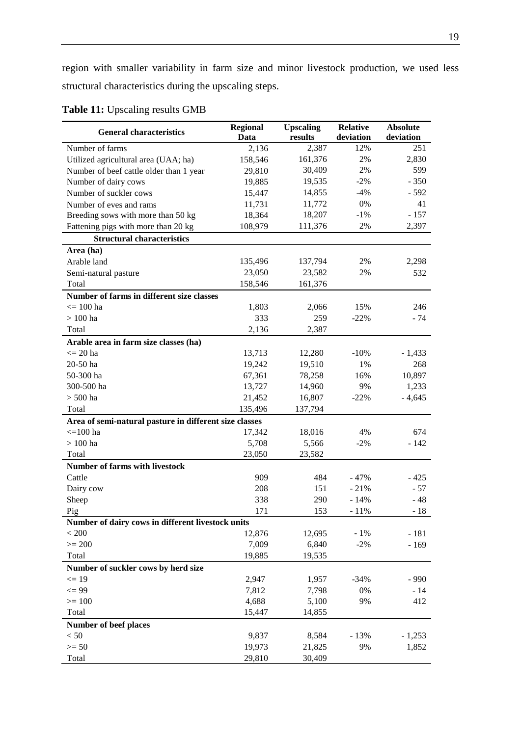region with smaller variability in farm size and minor livestock production, we used less structural characteristics during the upscaling steps.

| <b>General characteristics</b>                         | <b>Regional</b> | <b>Upscaling</b> | <b>Relative</b> | <b>Absolute</b>   |  |
|--------------------------------------------------------|-----------------|------------------|-----------------|-------------------|--|
|                                                        | Data            | results          | deviation       | deviation         |  |
| Number of farms                                        | 2,136           | 2,387            | 12%             | 251               |  |
| Utilized agricultural area (UAA; ha)                   | 158,546         | 161,376          | 2%              | 2,830             |  |
| Number of beef cattle older than 1 year                | 29,810          | 30,409           | 2%              | 599               |  |
| Number of dairy cows                                   | 19,885          | 19,535           | $-2\%$          | $-350$            |  |
| Number of suckler cows                                 | 15,447          | 14,855           | $-4%$           | $-592$            |  |
| Number of eves and rams                                | 11,731          | 11,772           | 0%              | 41                |  |
| Breeding sows with more than 50 kg                     | 18,364          | 18,207           | $-1\%$          | $-157$            |  |
| Fattening pigs with more than 20 kg                    | 108,979         | 111,376          | 2%              | 2,397             |  |
| <b>Structural characteristics</b>                      |                 |                  |                 |                   |  |
| Area (ha)                                              |                 |                  |                 |                   |  |
| Arable land                                            | 135,496         | 137,794          | 2%              | 2,298             |  |
| Semi-natural pasture                                   | 23,050          | 23,582           | 2%              | 532               |  |
| Total                                                  | 158,546         | 161,376          |                 |                   |  |
| Number of farms in different size classes              |                 |                  |                 |                   |  |
| $\epsilon = 100$ ha                                    | 1,803           | 2,066            | 15%             | 246               |  |
| $>100$ ha                                              | 333             | 259              | $-22%$          | $-74$             |  |
| Total                                                  | 2,136           | 2,387            |                 |                   |  |
| Arable area in farm size classes (ha)                  |                 |                  |                 |                   |  |
| $<= 20$ ha                                             | 13,713          | 12,280           | $-10%$          | $-1,433$          |  |
| 20-50 ha                                               | 19,242          | 19,510           | 1%              | 268               |  |
| 50-300 ha                                              | 67,361          | 78,258           | 16%             | 10,897            |  |
| 300-500 ha                                             | 13,727          | 14,960           | 9%              | 1,233             |  |
| $> 500$ ha                                             | 21,452          | 16,807           | $-22%$          | $-4,645$          |  |
| Total                                                  | 135,496         | 137,794          |                 |                   |  |
| Area of semi-natural pasture in different size classes |                 |                  |                 |                   |  |
| $\epsilon = 100$ ha                                    | 17,342          | 18,016           | 4%              | 674               |  |
| $>100$ ha                                              | 5,708           | 5,566            | $-2\%$          | $-142$            |  |
| Total                                                  | 23,050          | 23,582           |                 |                   |  |
| <b>Number of farms with livestock</b>                  |                 |                  |                 |                   |  |
| Cattle                                                 | 909             | 484              | $-47%$          | $-425$            |  |
| Dairy cow                                              | 208             | 151              | $-21%$          | $-57$             |  |
| Sheep                                                  | 338             | 290              | $-14%$          | $-48$             |  |
| Pig                                                    | 171             | 153              | $-11%$          | $-18$             |  |
| Number of dairy cows in different livestock units      |                 |                  |                 |                   |  |
| $< 200$                                                | 12,876          | 12,695           | $-1\%$          | $-181$            |  |
| $>= 200$                                               | 7,009           | 6,840            | $-2%$           | $-169$            |  |
| Total                                                  | 19,885          | 19,535           |                 |                   |  |
| Number of suckler cows by herd size                    |                 |                  |                 |                   |  |
| $\leq$ 19                                              | 2,947           | 1,957            | $-34%$          | $-990$            |  |
| $\leq$ 99                                              | 7,812           | 7,798            | 0%              | $-14$             |  |
| $>= 100$                                               | 4,688           | 5,100            | 9%              | 412               |  |
| Total                                                  | 15,447          | 14,855           |                 |                   |  |
|                                                        |                 |                  |                 |                   |  |
| Number of beef places<br>$< 50$                        | 9,837           | 8,584            |                 |                   |  |
| $>= 50$                                                | 19,973          | 21,825           | $-13%$<br>9%    | $-1,253$<br>1,852 |  |
|                                                        | 29,810          |                  |                 |                   |  |
| Total                                                  |                 | 30,409           |                 |                   |  |

<span id="page-20-0"></span>**Table 11:** Upscaling results GMB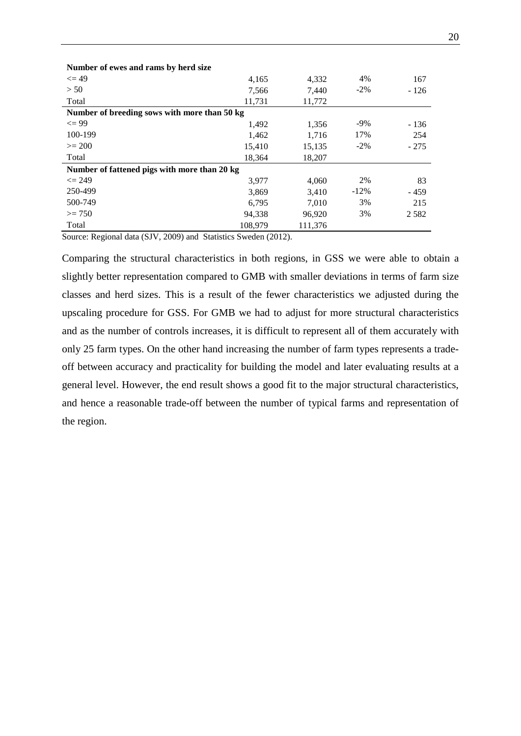| Number of ewes and rams by herd size         |         |         |         |        |
|----------------------------------------------|---------|---------|---------|--------|
| $\leq$ 49                                    | 4,165   | 4,332   | 4%      | 167    |
| > 50                                         | 7,566   | 7.440   | $-2\%$  | $-126$ |
| Total                                        | 11,731  | 11,772  |         |        |
| Number of breeding sows with more than 50 kg |         |         |         |        |
| $\leq$ 99                                    | 1,492   | 1,356   | $-9\%$  | - 136  |
| 100-199                                      | 1,462   | 1,716   | 17%     | 254    |
| $>= 200$                                     | 15,410  | 15,135  | $-2\%$  | $-275$ |
| Total                                        | 18,364  | 18,207  |         |        |
| Number of fattened pigs with more than 20 kg |         |         |         |        |
| $\leq$ 249                                   | 3,977   | 4,060   | 2%      | 83     |
| 250-499                                      | 3,869   | 3,410   | $-12\%$ | - 459  |
| 500-749                                      | 6,795   | 7,010   | 3%      | 215    |
| $>= 750$                                     | 94,338  | 96,920  | 3%      | 2582   |
| Total                                        | 108,979 | 111,376 |         |        |

**Number of ewes and rams by herd size**

Source: Regional data (SJV, 2009) and Statistics Sweden (2012).

Comparing the structural characteristics in both regions, in GSS we were able to obtain a slightly better representation compared to GMB with smaller deviations in terms of farm size classes and herd sizes. This is a result of the fewer characteristics we adjusted during the upscaling procedure for GSS. For GMB we had to adjust for more structural characteristics and as the number of controls increases, it is difficult to represent all of them accurately with only 25 farm types. On the other hand increasing the number of farm types represents a tradeoff between accuracy and practicality for building the model and later evaluating results at a general level. However, the end result shows a good fit to the major structural characteristics, and hence a reasonable trade-off between the number of typical farms and representation of the region.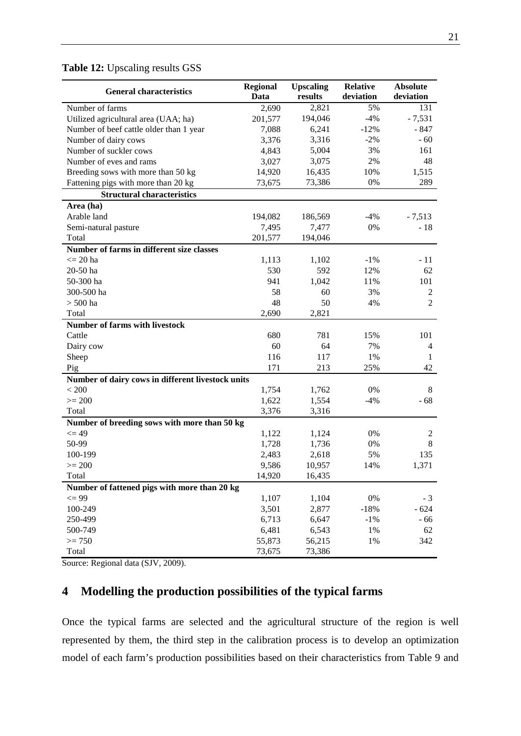### <span id="page-22-1"></span>**Table 12:** Upscaling results GSS

| <b>General characteristics</b>                                           | <b>Regional</b><br>Data | <b>Upscaling</b><br>results | <b>Relative</b><br>deviation | <b>Absolute</b><br>deviation |
|--------------------------------------------------------------------------|-------------------------|-----------------------------|------------------------------|------------------------------|
| Number of farms                                                          |                         | 2,821                       | 5%                           | 131                          |
| Utilized agricultural area (UAA; ha)                                     | 2,690<br>201,577        | 194,046                     | $-4%$                        | $-7,531$                     |
| Number of beef cattle older than 1 year                                  | 7,088                   | 6,241                       | $-12%$                       | - 847                        |
| Number of dairy cows                                                     | 3,376                   | 3,316                       | $-2\%$                       | $-60$                        |
| Number of suckler cows                                                   | 4,843                   | 5,004                       | 3%                           | 161                          |
| Number of eves and rams                                                  | 3,027                   | 3,075                       | 2%                           | 48                           |
|                                                                          | 14,920                  | 16,435                      | 10%                          | 1,515                        |
| Breeding sows with more than 50 kg                                       |                         | 73,386                      | 0%                           | 289                          |
| Fattening pigs with more than 20 kg<br><b>Structural characteristics</b> | 73,675                  |                             |                              |                              |
| Area (ha)                                                                |                         |                             |                              |                              |
| Arable land                                                              | 194,082                 | 186,569                     | $-4%$                        | $-7,513$                     |
| Semi-natural pasture                                                     | 7,495                   | 7,477                       | 0%                           | $-18$                        |
| Total                                                                    | 201,577                 | 194,046                     |                              |                              |
| Number of farms in different size classes                                |                         |                             |                              |                              |
| $\leq$ 20 ha                                                             | 1,113                   | 1,102                       | $-1\%$                       | $-11$                        |
| 20-50 ha                                                                 | 530                     | 592                         | 12%                          | 62                           |
| 50-300 ha                                                                | 941                     | 1,042                       | 11%                          | 101                          |
| 300-500 ha                                                               | 58                      | 60                          | 3%                           | 2                            |
| $> 500$ ha                                                               | 48                      | 50                          | 4%                           | $\overline{2}$               |
| Total                                                                    | 2,690                   | 2,821                       |                              |                              |
| <b>Number of farms with livestock</b>                                    |                         |                             |                              |                              |
| Cattle                                                                   | 680                     | 781                         | 15%                          | 101                          |
| Dairy cow                                                                | 60                      | 64                          | 7%                           | 4                            |
| Sheep                                                                    | 116                     | 117                         | 1%                           | 1                            |
| Pig                                                                      | 171                     | 213                         | 25%                          | 42                           |
|                                                                          |                         |                             |                              |                              |
| Number of dairy cows in different livestock units<br>< 200               | 1,754                   |                             | 0%                           | 8                            |
| $>= 200$                                                                 | 1,622                   | 1,762<br>1,554              | $-4%$                        | $-68$                        |
| Total                                                                    |                         |                             |                              |                              |
|                                                                          | 3,376                   | 3,316                       |                              |                              |
| Number of breeding sows with more than 50 kg<br>$\leq$ 49                | 1,122                   | 1,124                       | 0%                           | 2                            |
| 50-99                                                                    | 1,728                   | 1,736                       | 0%                           | 8                            |
| 100-199                                                                  | 2,483                   | 2,618                       | 5%                           | 135                          |
| $>= 200$                                                                 | 9,586                   | 10,957                      | 14%                          | 1,371                        |
| Total                                                                    | 14,920                  | 16,435                      |                              |                              |
| Number of fattened pigs with more than 20 kg                             |                         |                             |                              |                              |
| $\leq$ 99                                                                | 1,107                   | 1,104                       | $0\%$                        | $-3$                         |
| 100-249                                                                  | 3,501                   | 2,877                       | $-18%$                       | $-624$                       |
| 250-499                                                                  | 6,713                   | 6,647                       | $-1\%$                       | $-66$                        |
| 500-749                                                                  | 6,481                   | 6,543                       | 1%                           | 62                           |
| $>= 750$                                                                 | 55,873                  | 56,215                      | 1%                           | 342                          |
|                                                                          |                         |                             |                              |                              |
| Total                                                                    | 73,675                  | 73,386                      |                              |                              |

Source: Regional data (SJV, 2009).

### <span id="page-22-0"></span>**4 Modelling the production possibilities of the typical farms**

Once the typical farms are selected and the agricultural structure of the region is well represented by them, the third step in the calibration process is to develop an optimization model of each farm's production possibilities based on their characteristics from [Table 9](#page-17-0) and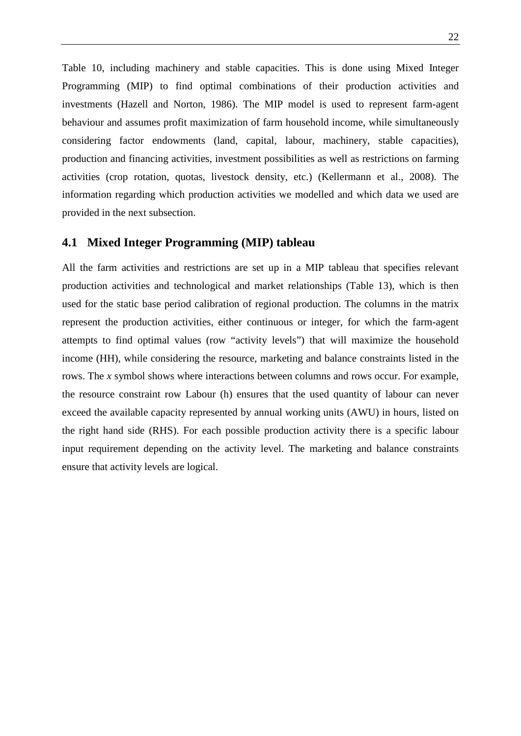[Table 10,](#page-18-0) including machinery and stable capacities. This is done using Mixed Integer Programming (MIP) to find optimal combinations of their production activities and investments (Hazell and Norton, 1986). The MIP model is used to represent farm-agent behaviour and assumes profit maximization of farm household income, while simultaneously considering factor endowments (land, capital, labour, machinery, stable capacities), production and financing activities, investment possibilities as well as restrictions on farming activities (crop rotation, quotas, livestock density, etc.) (Kellermann et al., 2008). The information regarding which production activities we modelled and which data we used are provided in the next subsection.

### <span id="page-23-0"></span>**4.1 Mixed Integer Programming (MIP) tableau**

All the farm activities and restrictions are set up in a MIP tableau that specifies relevant production activities and technological and market relationships [\(Table 13\)](#page-24-0), which is then used for the static base period calibration of regional production. The columns in the matrix represent the production activities, either continuous or integer, for which the farm-agent attempts to find optimal values (row "activity levels") that will maximize the household income (HH), while considering the resource, marketing and balance constraints listed in the rows. The *x* symbol shows where interactions between columns and rows occur. For example, the resource constraint row Labour (h) ensures that the used quantity of labour can never exceed the available capacity represented by annual working units (AWU) in hours, listed on the right hand side (RHS). For each possible production activity there is a specific labour input requirement depending on the activity level. The marketing and balance constraints ensure that activity levels are logical.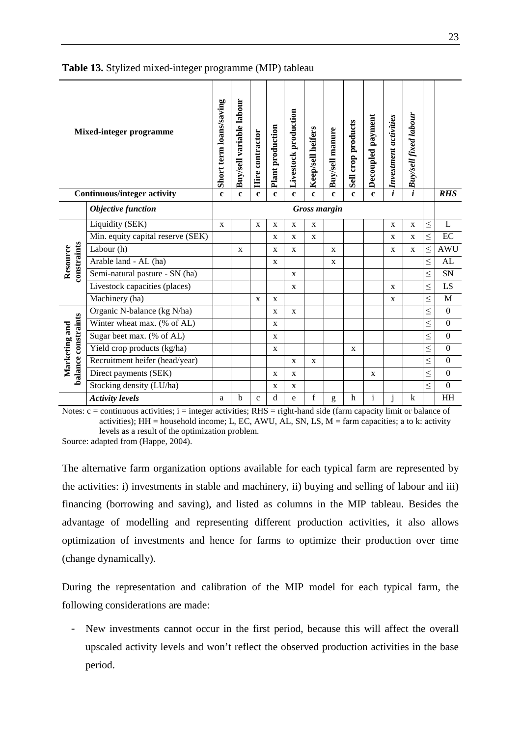|                                      | <b>Mixed-integer programme</b>     | Buy/sell variable labour<br>Short term loans/saving<br>Livestock production<br>Buy/sell fixed labour<br>Decoupled payment<br>Investment activities<br>Sell crop products<br>Plant production<br><b>Keep/sell heifers</b><br><b>Buy/sell manure</b><br>Hire contractor<br>$\dot{i}$<br>i<br>$\mathbf{c}$<br>$\mathbf{c}$<br>$\mathbf{c}$<br>$\mathbf{c}$<br>$\mathbf c$<br>$\mathbf{c}$<br>$\mathbf c$<br>$\mathbf c$<br>$\mathbf c$ |   |             |             |              |                     |              |             |              |              |             |        |                  |
|--------------------------------------|------------------------------------|-------------------------------------------------------------------------------------------------------------------------------------------------------------------------------------------------------------------------------------------------------------------------------------------------------------------------------------------------------------------------------------------------------------------------------------|---|-------------|-------------|--------------|---------------------|--------------|-------------|--------------|--------------|-------------|--------|------------------|
|                                      | <b>Continuous/integer activity</b> |                                                                                                                                                                                                                                                                                                                                                                                                                                     |   |             |             |              |                     |              |             |              |              |             |        | <b>RHS</b>       |
|                                      | Objective function                 |                                                                                                                                                                                                                                                                                                                                                                                                                                     |   |             |             |              | <b>Gross margin</b> |              |             |              |              |             |        |                  |
|                                      | Liquidity (SEK)                    | $\mathbf{x}$                                                                                                                                                                                                                                                                                                                                                                                                                        |   | $\mathbf X$ | X           | $\mathbf X$  | X                   |              |             |              | $\mathbf X$  | X           | $\leq$ | L                |
|                                      | Min. equity capital reserve (SEK)  |                                                                                                                                                                                                                                                                                                                                                                                                                                     |   |             | X           | $\mathbf{X}$ | $\mathbf{X}$        |              |             |              | $\mathbf X$  | $\mathbf X$ | $\leq$ | EC               |
| constraints                          | Labour (h)                         |                                                                                                                                                                                                                                                                                                                                                                                                                                     | X |             | X           | $\mathbf{X}$ |                     | $\mathbf{X}$ |             |              | $\mathbf{X}$ | X           | $\leq$ | <b>AWU</b>       |
| Resource                             | Arable land - AL (ha)              |                                                                                                                                                                                                                                                                                                                                                                                                                                     |   |             | $\mathbf X$ |              |                     | $\mathbf X$  |             |              |              |             | $\leq$ | AL               |
|                                      | Semi-natural pasture - SN (ha)     |                                                                                                                                                                                                                                                                                                                                                                                                                                     |   |             |             | X            |                     |              |             |              |              |             | $\leq$ | SN               |
|                                      | Livestock capacities (places)      |                                                                                                                                                                                                                                                                                                                                                                                                                                     |   |             |             | X            |                     |              |             |              | X            |             | $\leq$ | LS               |
|                                      | Machinery (ha)                     |                                                                                                                                                                                                                                                                                                                                                                                                                                     |   | X           | X           |              |                     |              |             |              | X            |             | $\leq$ | M                |
|                                      | Organic N-balance (kg N/ha)        |                                                                                                                                                                                                                                                                                                                                                                                                                                     |   |             | X           | X            |                     |              |             |              |              |             | $\leq$ | $\boldsymbol{0}$ |
|                                      | Winter wheat max. (% of AL)        |                                                                                                                                                                                                                                                                                                                                                                                                                                     |   |             | X           |              |                     |              |             |              |              |             | $\leq$ | $\boldsymbol{0}$ |
|                                      | Sugar beet max. (% of AL)          |                                                                                                                                                                                                                                                                                                                                                                                                                                     |   |             | X           |              |                     |              |             |              |              |             | $\leq$ | $\boldsymbol{0}$ |
|                                      | Yield crop products (kg/ha)        |                                                                                                                                                                                                                                                                                                                                                                                                                                     |   |             | X           |              |                     |              | X           |              |              |             | $\leq$ | $\boldsymbol{0}$ |
| balance constraints<br>Marketing and | Recruitment heifer (head/year)     |                                                                                                                                                                                                                                                                                                                                                                                                                                     |   |             |             | $\mathbf X$  | $\mathbf X$         |              |             |              |              |             | $\leq$ | $\boldsymbol{0}$ |
|                                      | Direct payments (SEK)              |                                                                                                                                                                                                                                                                                                                                                                                                                                     |   |             | X           | X            |                     |              |             | $\mathbf X$  |              |             | $\leq$ | $\boldsymbol{0}$ |
|                                      | Stocking density (LU/ha)           |                                                                                                                                                                                                                                                                                                                                                                                                                                     |   |             | X           | $\mathbf X$  |                     |              |             |              |              |             | $\leq$ | $\boldsymbol{0}$ |
|                                      | <b>Activity levels</b>             | a                                                                                                                                                                                                                                                                                                                                                                                                                                   | b | $\mathbf c$ | d           | e            | $\mathbf f$         | g            | $\mathbf h$ | $\mathbf{i}$ | j            | $\bf k$     |        | HH               |

#### <span id="page-24-0"></span>**Table 13.** Stylized mixed-integer programme (MIP) tableau

Notes:  $c =$  continuous activities;  $i =$  integer activities; RHS = right-hand side (farm capacity limit or balance of activities); HH = household income; L, EC, AWU, AL, SN, LS,  $M = \text{farm}$  capacities; a to k: activity levels as a result of the optimization problem.

Source: adapted from (Happe, 2004).

The alternative farm organization options available for each typical farm are represented by the activities: i) investments in stable and machinery, ii) buying and selling of labour and iii) financing (borrowing and saving), and listed as columns in the MIP tableau. Besides the advantage of modelling and representing different production activities, it also allows optimization of investments and hence for farms to optimize their production over time (change dynamically).

During the representation and calibration of the MIP model for each typical farm, the following considerations are made:

- New investments cannot occur in the first period, because this will affect the overall upscaled activity levels and won't reflect the observed production activities in the base period.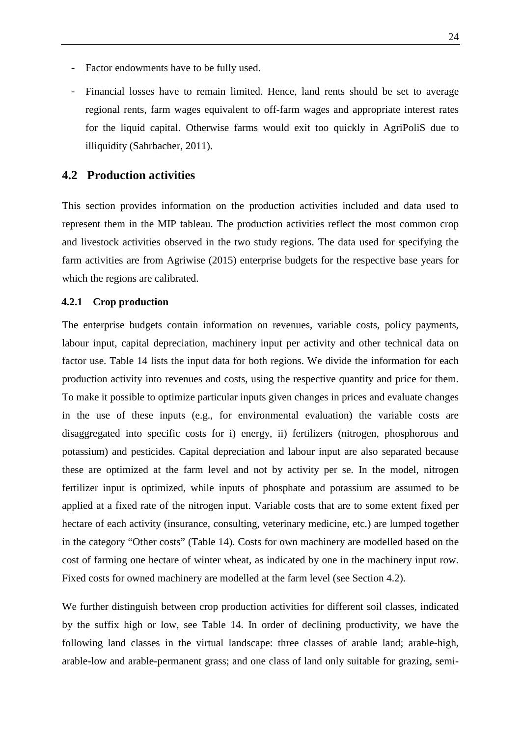- Factor endowments have to be fully used.
- Financial losses have to remain limited. Hence, land rents should be set to average regional rents, farm wages equivalent to off-farm wages and appropriate interest rates for the liquid capital. Otherwise farms would exit too quickly in AgriPoliS due to illiquidity (Sahrbacher, 2011).

### <span id="page-25-0"></span>**4.2 Production activities**

This section provides information on the production activities included and data used to represent them in the MIP tableau. The production activities reflect the most common crop and livestock activities observed in the two study regions. The data used for specifying the farm activities are from Agriwise (2015) enterprise budgets for the respective base years for which the regions are calibrated.

#### <span id="page-25-1"></span>**4.2.1 Crop production**

The enterprise budgets contain information on revenues, variable costs, policy payments, labour input, capital depreciation, machinery input per activity and other technical data on factor use. [Table 14](#page-27-0) lists the input data for both regions. We divide the information for each production activity into revenues and costs, using the respective quantity and price for them. To make it possible to optimize particular inputs given changes in prices and evaluate changes in the use of these inputs (e.g., for environmental evaluation) the variable costs are disaggregated into specific costs for i) energy, ii) fertilizers (nitrogen, phosphorous and potassium) and pesticides. Capital depreciation and labour input are also separated because these are optimized at the farm level and not by activity per se. In the model, nitrogen fertilizer input is optimized, while inputs of phosphate and potassium are assumed to be applied at a fixed rate of the nitrogen input. Variable costs that are to some extent fixed per hectare of each activity (insurance, consulting, veterinary medicine, etc.) are lumped together in the category "Other costs" [\(Table 14\)](#page-27-0). Costs for own machinery are modelled based on the cost of farming one hectare of winter wheat, as indicated by one in the machinery input row. Fixed costs for owned machinery are modelled at the farm level (see Section [4.2\)](#page-30-0).

We further distinguish between crop production activities for different soil classes, indicated by the suffix high or low, see [Table 14.](#page-27-0) In order of declining productivity, we have the following land classes in the virtual landscape: three classes of arable land; arable-high, arable-low and arable-permanent grass; and one class of land only suitable for grazing, semi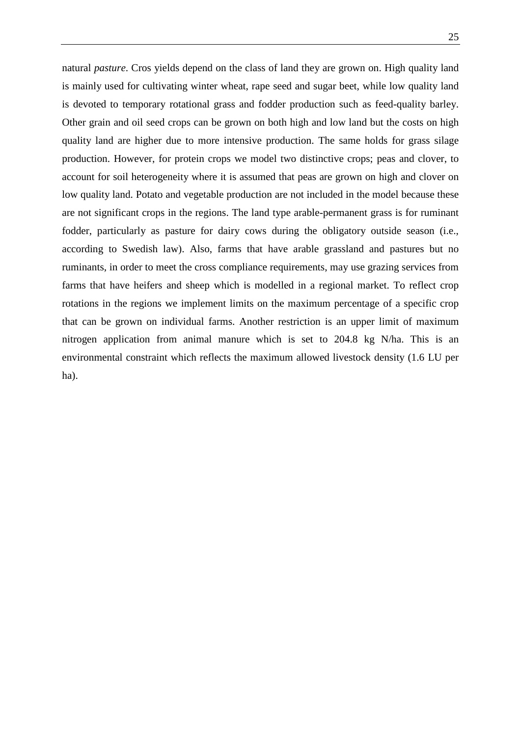natural *pasture*. Cros yields depend on the class of land they are grown on. High quality land is mainly used for cultivating winter wheat, rape seed and sugar beet, while low quality land is devoted to temporary rotational grass and fodder production such as feed-quality barley. Other grain and oil seed crops can be grown on both high and low land but the costs on high quality land are higher due to more intensive production. The same holds for grass silage production. However, for protein crops we model two distinctive crops; peas and clover, to account for soil heterogeneity where it is assumed that peas are grown on high and clover on low quality land. Potato and vegetable production are not included in the model because these are not significant crops in the regions. The land type arable-permanent grass is for ruminant fodder, particularly as pasture for dairy cows during the obligatory outside season (i.e., according to Swedish law). Also, farms that have arable grassland and pastures but no ruminants, in order to meet the cross compliance requirements, may use grazing services from farms that have heifers and sheep which is modelled in a regional market. To reflect crop rotations in the regions we implement limits on the maximum percentage of a specific crop that can be grown on individual farms. Another restriction is an upper limit of maximum nitrogen application from animal manure which is set to 204.8 kg N/ha. This is an environmental constraint which reflects the maximum allowed livestock density (1.6 LU per ha).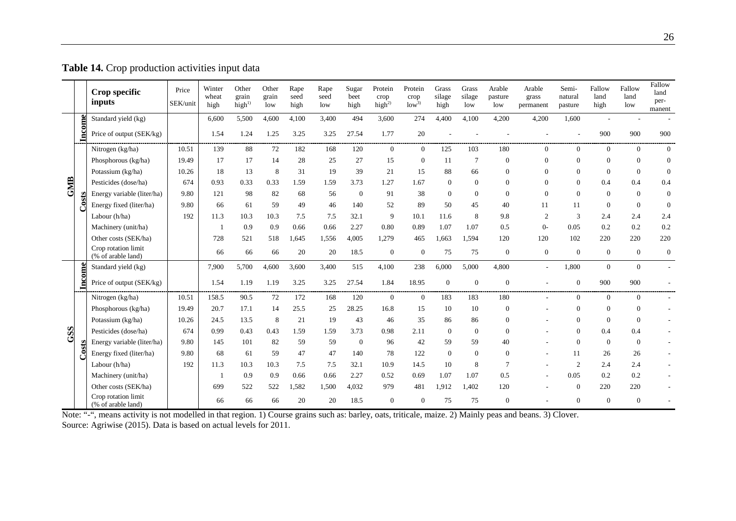|     |        | Crop specific<br>inputs                   | Price<br>SEK/unit | Winter<br>wheat<br>high | Other<br>grain<br>high <sup>1</sup> | Other<br>grain<br>low | Rape<br>seed<br>high | Rape<br>seed<br>low | Sugar<br>beet<br>high | Protein<br>crop<br>high $^{2)}$ | Protein<br>crop<br>low <sup>3</sup> | Grass<br>silage<br>high | Grass<br>silage<br>low | Arable<br>pasture<br>low | Arable<br>grass<br>permanent | Semi-<br>natural<br>pasture | Fallow<br>land<br>high | Fallow<br>land<br>low | Fallow<br>land<br>per-<br>manent |
|-----|--------|-------------------------------------------|-------------------|-------------------------|-------------------------------------|-----------------------|----------------------|---------------------|-----------------------|---------------------------------|-------------------------------------|-------------------------|------------------------|--------------------------|------------------------------|-----------------------------|------------------------|-----------------------|----------------------------------|
|     |        | Standard yield (kg)                       |                   | 6,600                   | 5,500                               | 4,600                 | 4,100                | 3,400               | 494                   | 3,600                           | 274                                 | 4,400                   | 4,100                  | 4,200                    | 4,200                        | 1,600                       |                        |                       |                                  |
|     | Income | Price of output (SEK/kg)                  |                   | 1.54                    | 1.24                                | 1.25                  | 3.25                 | 3.25                | 27.54                 | 1.77                            | 20                                  |                         |                        |                          |                              |                             | 900                    | 900                   | 900                              |
|     |        | Nitrogen (kg/ha)                          | 10.51             | 139                     | 88                                  | 72                    | 182                  | 168                 | 120                   | $\mathbf{0}$                    | $\overline{0}$                      | 125                     | 103                    | 180                      | $\Omega$                     | $\Omega$                    | $\Omega$               | $\Omega$              | $\overline{0}$                   |
|     |        | Phosphorous (kg/ha)                       | 19.49             | 17                      | 17                                  | 14                    | 28                   | 25                  | 27                    | 15                              | $\overline{0}$                      | 11                      | $\overline{7}$         | $\mathbf{0}$             | $\Omega$                     | $\Omega$                    | $\Omega$               | $\Omega$              | $\theta$                         |
|     |        | Potassium (kg/ha)                         | 10.26             | 18                      | 13                                  | 8                     | 31                   | 19                  | 39                    | 21                              | 15                                  | 88                      | 66                     | $\theta$                 | $\Omega$                     | $\Omega$                    | $\Omega$               | $\mathbf{0}$          | $\theta$                         |
| GMB |        | Pesticides (dose/ha)                      | 674               | 0.93                    | 0.33                                | 0.33                  | 1.59                 | 1.59                | 3.73                  | 1.27                            | 1.67                                | $\Omega$                | $\theta$               | $\theta$                 | $\Omega$                     | $\Omega$                    | 0.4                    | 0.4                   | 0.4                              |
|     |        | Energy variable (liter/ha)                | 9.80              | 121                     | 98                                  | 82                    | 68                   | 56                  | $\overline{0}$        | 91                              | 38                                  | $\Omega$                | $\theta$               | $\mathbf{0}$             | $\Omega$                     | $\Omega$                    | $\Omega$               | $\theta$              | $\boldsymbol{0}$                 |
|     | ථි     | Energy fixed (liter/ha)                   | 9.80              | 66                      | 61                                  | 59                    | 49                   | 46                  | 140                   | 52                              | 89                                  | 50                      | 45                     | 40                       | 11                           | 11                          | $\overline{0}$         | $\mathbf{0}$          | $\mathbf{0}$                     |
|     |        | Labour (h/ha)                             | 192               | 11.3                    | 10.3                                | 10.3                  | 7.5                  | 7.5                 | 32.1                  | 9                               | 10.1                                | 11.6                    | 8                      | 9.8                      | $\overline{2}$               | 3                           | 2.4                    | 2.4                   | 2.4                              |
|     |        | Machinery (unit/ha)                       |                   |                         | 0.9                                 | 0.9                   | 0.66                 | 0.66                | 2.27                  | 0.80                            | 0.89                                | 1.07                    | 1.07                   | 0.5                      | $() -$                       | 0.05                        | 0.2                    | 0.2                   | 0.2                              |
|     |        | Other costs (SEK/ha)                      |                   | 728                     | 521                                 | 518                   | 1,645                | 1,556               | 4,005                 | 1,279                           | 465                                 | 1,663                   | 1,594                  | 120                      | 120                          | 102                         | 220                    | 220                   | 220                              |
|     |        | Crop rotation limit<br>(% of arable land) |                   | 66                      | 66                                  | 66                    | 20                   | 20                  | 18.5                  | $\mathbf{0}$                    | $\overline{0}$                      | 75                      | 75                     | $\theta$                 | $\Omega$                     | $\Omega$                    | $\theta$               | $\mathbf{0}$          | $\boldsymbol{0}$                 |
|     |        | Standard yield (kg)                       |                   | 7,900                   | 5,700                               | 4,600                 | 3,600                | 3,400               | 515                   | 4,100                           | 238                                 | 6,000                   | 5,000                  | 4,800                    | $\overline{a}$               | 1,800                       | $\theta$               | $\Omega$              |                                  |
|     | Income | Price of output (SEK/kg)                  |                   | 1.54                    | 1.19                                | 1.19                  | 3.25                 | 3.25                | 27.54                 | 1.84                            | 18.95                               | $\mathbf{0}$            | $\theta$               | $\Omega$                 |                              | $\Omega$                    | 900                    | 900                   |                                  |
|     |        | Nitrogen (kg/ha)                          | 10.51             | 158.5                   | 90.5                                | 72                    | 172                  | 168                 | 120                   | $\boldsymbol{0}$                | $\mathbf{0}$                        | 183                     | 183                    | 180                      |                              | $\Omega$                    | $\Omega$               | $\Omega$              |                                  |
|     |        | Phosphorous (kg/ha)                       | 19.49             | 20.7                    | 17.1                                | 14                    | 25.5                 | 25                  | 28.25                 | 16.8                            | 15                                  | 10                      | 10                     | $\Omega$                 |                              | $\Omega$                    | $\Omega$               | $\Omega$              |                                  |
|     |        | Potassium (kg/ha)                         | 10.26             | 24.5                    | 13.5                                | 8                     | 21                   | 19                  | 43                    | 46                              | 35                                  | 86                      | 86                     | $\Omega$                 |                              | $\Omega$                    | $\Omega$               | $\Omega$              |                                  |
| GSS |        | Pesticides (dose/ha)                      | 674               | 0.99                    | 0.43                                | 0.43                  | 1.59                 | 1.59                | 3.73                  | 0.98                            | 2.11                                | $\Omega$                | $\overline{0}$         | $\theta$                 |                              | $\Omega$                    | 0.4                    | 0.4                   |                                  |
|     |        | Energy variable (liter/ha)                | 9.80              | 145                     | 101                                 | 82                    | 59                   | 59                  | $\overline{0}$        | 96                              | 42                                  | 59                      | 59                     | 40                       |                              | $\Omega$                    | $\Omega$               | $\overline{0}$        |                                  |
|     | Costs  | Energy fixed (liter/ha)                   | 9.80              | 68                      | 61                                  | 59                    | 47                   | 47                  | 140                   | 78                              | 122                                 | $\Omega$                | $\theta$               | $\theta$                 |                              | 11                          | 26                     | 26                    |                                  |
|     |        | Labour (h/ha)                             | 192               | 11.3                    | 10.3                                | 10.3                  | 7.5                  | 7.5                 | 32.1                  | 10.9                            | 14.5                                | 10                      | 8                      | $\overline{7}$           |                              | $\mathfrak{D}$              | 2.4                    | 2.4                   |                                  |
|     |        | Machinery (unit/ha)                       |                   |                         | 0.9                                 | 0.9                   | 0.66                 | 0.66                | 2.27                  | 0.52                            | 0.69                                | 1.07                    | 1.07                   | 0.5                      |                              | 0.05                        | 0.2                    | 0.2                   |                                  |
|     |        | Other costs (SEK/ha)                      |                   | 699                     | 522                                 | 522                   | 1,582                | 1,500               | 4,032                 | 979                             | 481                                 | 1,912                   | 1,402                  | 120                      |                              | $\mathbf{0}$                | 220                    | 220                   |                                  |
|     |        | Crop rotation limit<br>(% of arable land) |                   | 66                      | 66                                  | 66                    | 20                   | 20                  | 18.5                  | $\mathbf{0}$                    | $\Omega$                            | 75                      | 75                     | $\theta$                 |                              | $\Omega$                    | $\theta$               | $\overline{0}$        |                                  |

**Table 14.** Crop production activities input data

<span id="page-27-0"></span>Note: "-", means activity is not modelled in that region. 1) Course grains such as: barley, oats, triticale, maize. 2) Mainly peas and beans. 3) Clover. Source: Agriwise (2015). Data is based on actual levels for 2011.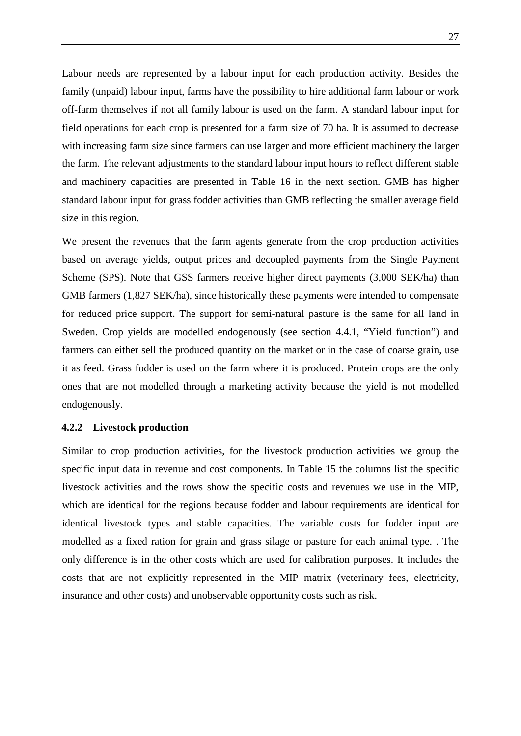Labour needs are represented by a labour input for each production activity. Besides the family (unpaid) labour input, farms have the possibility to hire additional farm labour or work off-farm themselves if not all family labour is used on the farm. A standard labour input for field operations for each crop is presented for a farm size of 70 ha. It is assumed to decrease with increasing farm size since farmers can use larger and more efficient machinery the larger the farm. The relevant adjustments to the standard labour input hours to reflect different stable and machinery capacities are presented in [Table 16](#page-31-0) in the next section. GMB has higher standard labour input for grass fodder activities than GMB reflecting the smaller average field size in this region.

We present the revenues that the farm agents generate from the crop production activities based on average yields, output prices and decoupled payments from the Single Payment Scheme (SPS). Note that GSS farmers receive higher direct payments (3,000 SEK/ha) than GMB farmers (1,827 SEK/ha), since historically these payments were intended to compensate for reduced price support. The support for semi-natural pasture is the same for all land in Sweden. Crop yields are modelled endogenously (see section [4.4.1,](#page-34-1) ["Yield function"](#page-34-1)) and farmers can either sell the produced quantity on the market or in the case of coarse grain, use it as feed. Grass fodder is used on the farm where it is produced. Protein crops are the only ones that are not modelled through a marketing activity because the yield is not modelled endogenously.

#### <span id="page-28-0"></span>**4.2.2 Livestock production**

Similar to crop production activities, for the livestock production activities we group the specific input data in revenue and cost components. In [Table 15](#page-29-0) the columns list the specific livestock activities and the rows show the specific costs and revenues we use in the MIP, which are identical for the regions because fodder and labour requirements are identical for identical livestock types and stable capacities. The variable costs for fodder input are modelled as a fixed ration for grain and grass silage or pasture for each animal type. . The only difference is in the other costs which are used for calibration purposes. It includes the costs that are not explicitly represented in the MIP matrix (veterinary fees, electricity, insurance and other costs) and unobservable opportunity costs such as risk.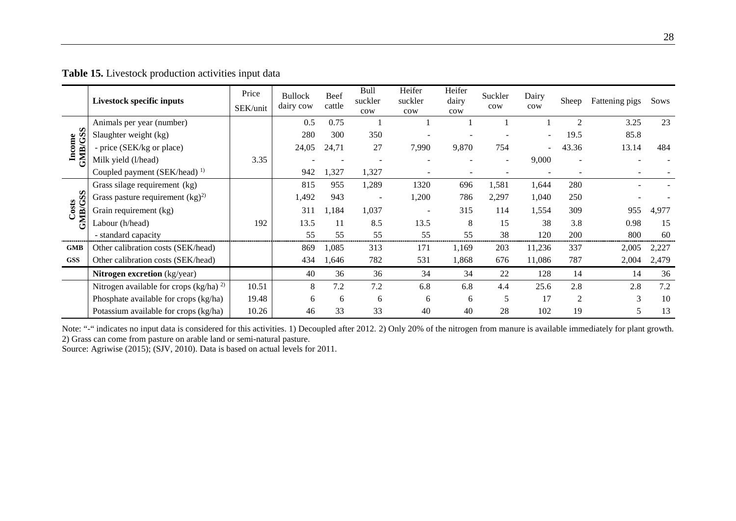|                   | Livestock specific inputs                | Price<br>SEK/unit | <b>Bullock</b><br>dairy cow | Beef<br>cattle | <b>Bull</b><br>suckler<br>$_{\text{row}}$ | Heifer<br>suckler<br>$_{\text{row}}$ | Heifer<br>dairy<br>$_{\text{row}}$ | Suckler<br>cow           | Dairy<br>cow | Sheep          | Fattening pigs | Sows  |
|-------------------|------------------------------------------|-------------------|-----------------------------|----------------|-------------------------------------------|--------------------------------------|------------------------------------|--------------------------|--------------|----------------|----------------|-------|
|                   | Animals per year (number)                |                   | 0.5                         | 0.75           |                                           |                                      |                                    |                          |              | $\overline{2}$ | 3.25           | 23    |
| Income<br>GMB/GSS | Slaughter weight (kg)                    |                   | 280                         | 300            | 350                                       |                                      |                                    |                          |              | 19.5           | 85.8           |       |
|                   | - price (SEK/kg or place)                |                   | 24,05                       | 24,71          | 27                                        | 7,990                                | 9,870                              | 754                      |              | 43.36          | 13.14          | 484   |
|                   | Milk yield (l/head)                      | 3.35              |                             |                |                                           |                                      |                                    | $\overline{\phantom{a}}$ | 9,000        |                |                |       |
|                   | Coupled payment (SEK/head) <sup>1)</sup> |                   | 942                         | 1,327          | 1,327                                     |                                      |                                    |                          |              |                |                |       |
|                   | Grass silage requirement (kg)            |                   | 815                         | 955            | 1,289                                     | 1320                                 | 696                                | 1,581                    | 1,644        | 280            |                |       |
|                   | Grass pasture requirement $(kg)^2$       |                   | 1,492                       | 943            |                                           | 1,200                                | 786                                | 2,297                    | 1,040        | 250            |                |       |
| Costs<br>GMB/GSS  | Grain requirement (kg)                   |                   | 311                         | 1,184          | 1,037                                     |                                      | 315                                | 114                      | 1,554        | 309            | 955            | 4,977 |
|                   | Labour (h/head)                          | 192               | 13.5                        | 11             | 8.5                                       | 13.5                                 | 8                                  | 15                       | 38           | 3.8            | 0.98           | 15    |
|                   | - standard capacity                      |                   | 55                          | 55             | 55                                        | 55                                   | 55                                 | 38                       | 120          | 200            | 800            | 60    |
| <b>GMB</b>        | Other calibration costs (SEK/head)       |                   | 869                         | 1,085          | 313                                       | 171                                  | 1,169                              | 203                      | 11,236       | 337            | 2,005          | 2,227 |
| <b>GSS</b>        | Other calibration costs (SEK/head)       |                   | 434                         | 1,646          | 782                                       | 531                                  | 1,868                              | 676                      | 11,086       | 787            | 2,004          | 2,479 |
|                   | <b>Nitrogen excretion</b> (kg/year)      |                   | 40                          | 36             | 36                                        | 34                                   | 34                                 | 22                       | 128          | 14             | 14             | 36    |
|                   | Nitrogen available for crops $(kg/ha)^2$ | 10.51             | 8                           | 7.2            | 7.2                                       | 6.8                                  | 6.8                                | 4.4                      | 25.6         | 2.8            | 2.8            | 7.2   |
|                   | Phosphate available for crops (kg/ha)    | 19.48             | 6                           | 6              | 6                                         | 6                                    | 6                                  | 5                        | 17           | $\overline{2}$ | $\mathcal{E}$  | 10    |
|                   | Potassium available for crops (kg/ha)    | 10.26             | 46                          | 33             | 33                                        | 40                                   | 40                                 | 28                       | 102          | 19             | 5              | 13    |

**Table 15.** Livestock production activities input data

<span id="page-29-0"></span>Note: "-" indicates no input data is considered for this activities. 1) Decoupled after 2012. 2) Only 20% of the nitrogen from manure is available immediately for plant growth. 2) Grass can come from pasture on arable land or semi-natural pasture.

Source: Agriwise (2015); (SJV, 2010). Data is based on actual levels for 2011.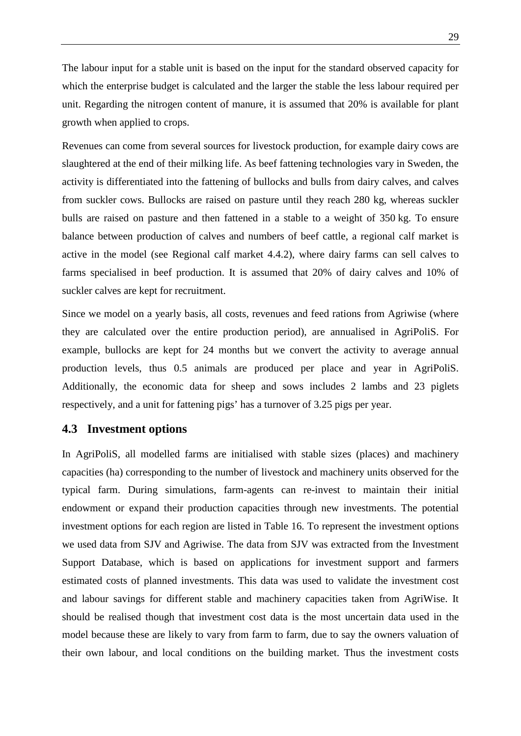The labour input for a stable unit is based on the input for the standard observed capacity for which the enterprise budget is calculated and the larger the stable the less labour required per unit. Regarding the nitrogen content of manure, it is assumed that 20% is available for plant growth when applied to crops.

Revenues can come from several sources for livestock production, for example dairy cows are slaughtered at the end of their milking life. As beef fattening technologies vary in Sweden, the activity is differentiated into the fattening of bullocks and bulls from dairy calves, and calves from suckler cows. Bullocks are raised on pasture until they reach 280 kg, whereas suckler bulls are raised on pasture and then fattened in a stable to a weight of 350 kg. To ensure balance between production of calves and numbers of beef cattle, a regional calf market is active in the model (see [Regional calf market](#page-35-0) [4.4.2\)](#page-35-0), where dairy farms can sell calves to farms specialised in beef production. It is assumed that 20% of dairy calves and 10% of suckler calves are kept for recruitment.

Since we model on a yearly basis, all costs, revenues and feed rations from Agriwise (where they are calculated over the entire production period), are annualised in AgriPoliS. For example, bullocks are kept for 24 months but we convert the activity to average annual production levels, thus 0.5 animals are produced per place and year in AgriPoliS. Additionally, the economic data for sheep and sows includes 2 lambs and 23 piglets respectively, and a unit for fattening pigs' has a turnover of 3.25 pigs per year.

### <span id="page-30-0"></span>**4.3 Investment options**

In AgriPoliS, all modelled farms are initialised with stable sizes (places) and machinery capacities (ha) corresponding to the number of livestock and machinery units observed for the typical farm. During simulations, farm-agents can re-invest to maintain their initial endowment or expand their production capacities through new investments. The potential investment options for each region are listed in [Table 16.](#page-31-0) To represent the investment options we used data from SJV and Agriwise. The data from SJV was extracted from the Investment Support Database, which is based on applications for investment support and farmers estimated costs of planned investments. This data was used to validate the investment cost and labour savings for different stable and machinery capacities taken from AgriWise. It should be realised though that investment cost data is the most uncertain data used in the model because these are likely to vary from farm to farm, due to say the owners valuation of their own labour, and local conditions on the building market. Thus the investment costs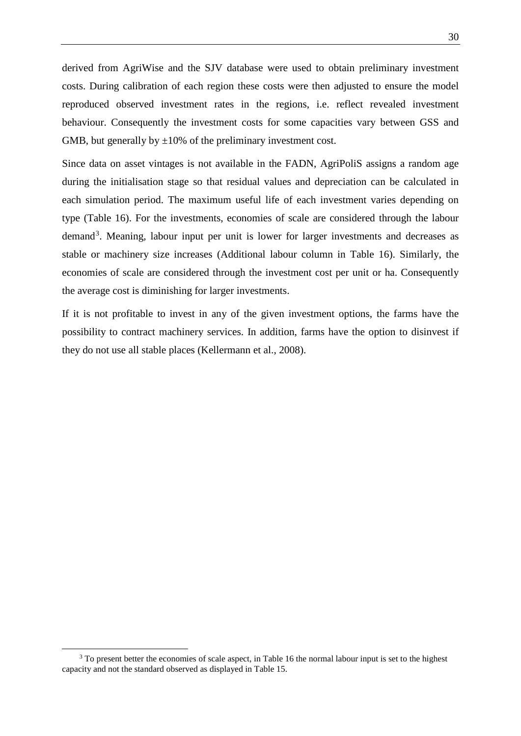derived from AgriWise and the SJV database were used to obtain preliminary investment costs. During calibration of each region these costs were then adjusted to ensure the model reproduced observed investment rates in the regions, i.e. reflect revealed investment behaviour. Consequently the investment costs for some capacities vary between GSS and GMB, but generally by  $\pm 10\%$  of the preliminary investment cost.

Since data on asset vintages is not available in the FADN, AgriPoliS assigns a random age during the initialisation stage so that residual values and depreciation can be calculated in each simulation period. The maximum useful life of each investment varies depending on type [\(Table 16\)](#page-31-0). For the investments, economies of scale are considered through the labour demand<sup>[3](#page-31-1)</sup>. Meaning, labour input per unit is lower for larger investments and decreases as stable or machinery size increases (Additional labour column in [Table 16\)](#page-31-0). Similarly, the economies of scale are considered through the investment cost per unit or ha. Consequently the average cost is diminishing for larger investments.

<span id="page-31-0"></span>If it is not profitable to invest in any of the given investment options, the farms have the possibility to contract machinery services. In addition, farms have the option to disinvest if they do not use all stable places (Kellermann et al., 2008).

<span id="page-31-1"></span><sup>&</sup>lt;sup>3</sup> To present better the economies of scale aspect, i[n Table 16](#page-31-0) the normal labour input is set to the highest capacity and not the standard observed as displayed i[n Table 15.](#page-29-0)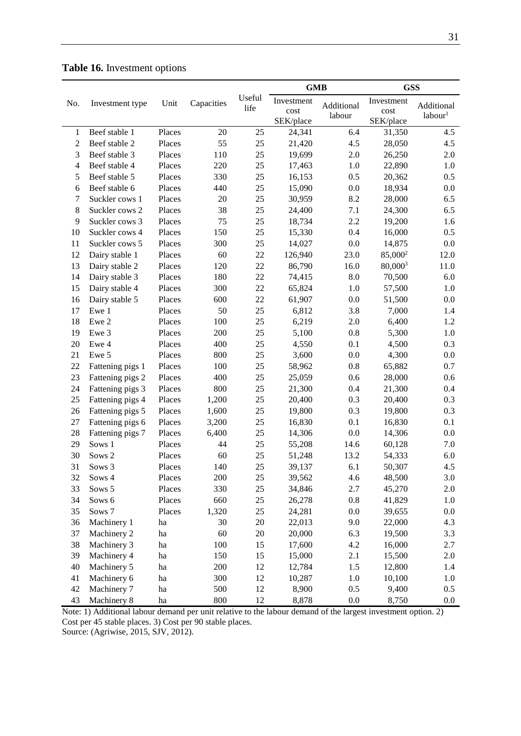### <span id="page-32-0"></span>**Table 16.** Investment options

|               |                  |        | <b>GMB</b> |        |            |            | <b>GSS</b>          |                     |  |
|---------------|------------------|--------|------------|--------|------------|------------|---------------------|---------------------|--|
| No.           | Investment type  | Unit   | Capacities | Useful | Investment | Additional | Investment          | Additional          |  |
|               |                  |        |            | life   | cost       | labour     | cost                | labour <sup>1</sup> |  |
|               |                  |        |            |        | SEK/place  |            | SEK/place           |                     |  |
| 1             | Beef stable 1    | Places | 20         | 25     | 24,341     | 6.4        | 31,350              | 4.5                 |  |
| $\mathfrak 2$ | Beef stable 2    | Places | 55         | 25     | 21,420     | 4.5        | 28,050              | 4.5                 |  |
| 3             | Beef stable 3    | Places | 110        | 25     | 19,699     | 2.0        | 26,250              | 2.0                 |  |
| 4             | Beef stable 4    | Places | 220        | 25     | 17,463     | 1.0        | 22,890              | 1.0                 |  |
| 5             | Beef stable 5    | Places | 330        | 25     | 16,153     | 0.5        | 20,362              | 0.5                 |  |
| 6             | Beef stable 6    | Places | 440        | 25     | 15,090     | 0.0        | 18,934              | 0.0                 |  |
| 7             | Suckler cows 1   | Places | 20         | 25     | 30,959     | 8.2        | 28,000              | 6.5                 |  |
| 8             | Suckler cows 2   | Places | 38         | 25     | 24,400     | 7.1        | 24,300              | 6.5                 |  |
| 9             | Suckler cows 3   | Places | 75         | 25     | 18,734     | 2.2        | 19,200              | 1.6                 |  |
| 10            | Suckler cows 4   | Places | 150        | 25     | 15,330     | 0.4        | 16,000              | 0.5                 |  |
| 11            | Suckler cows 5   | Places | 300        | 25     | 14,027     | 0.0        | 14,875              | 0.0                 |  |
| 12            | Dairy stable 1   | Places | 60         | 22     | 126,940    | 23.0       | 85,000 <sup>2</sup> | 12.0                |  |
| 13            | Dairy stable 2   | Places | 120        | $22\,$ | 86,790     | 16.0       | 80,0003             | 11.0                |  |
| 14            | Dairy stable 3   | Places | 180        | 22     | 74,415     | 8.0        | 70,500              | 6.0                 |  |
| 15            | Dairy stable 4   | Places | 300        | 22     | 65,824     | 1.0        | 57,500              | 1.0                 |  |
| 16            | Dairy stable 5   | Places | 600        | 22     | 61,907     | 0.0        | 51,500              | 0.0                 |  |
| 17            | Ewe 1            | Places | 50         | 25     | 6,812      | 3.8        | 7,000               | 1.4                 |  |
| 18            | Ewe 2            | Places | 100        | 25     | 6,219      | 2.0        | 6,400               | 1.2                 |  |
| 19            | Ewe 3            | Places | 200        | 25     | 5,100      | $0.8\,$    | 5,300               | 1.0                 |  |
| 20            | Ewe 4            | Places | 400        | 25     | 4,550      | 0.1        | 4,500               | 0.3                 |  |
| 21            | Ewe 5            | Places | 800        | 25     | 3,600      | 0.0        | 4,300               | 0.0                 |  |
| 22            | Fattening pigs 1 | Places | 100        | 25     | 58,962     | $0.8\,$    | 65,882              | 0.7                 |  |
| 23            | Fattening pigs 2 | Places | 400        | 25     | 25,059     | 0.6        | 28,000              | 0.6                 |  |
| 24            | Fattening pigs 3 | Places | 800        | $25\,$ | 21,300     | 0.4        | 21,300              | 0.4                 |  |
| 25            | Fattening pigs 4 | Places | 1,200      | 25     | 20,400     | 0.3        | 20,400              | 0.3                 |  |
| 26            | Fattening pigs 5 | Places | 1,600      | 25     | 19,800     | 0.3        | 19,800              | 0.3                 |  |
| $27\,$        | Fattening pigs 6 | Places | 3,200      | 25     | 16,830     | 0.1        | 16,830              | 0.1                 |  |
| 28            | Fattening pigs 7 | Places | 6,400      | 25     | 14,306     | 0.0        | 14,306              | 0.0                 |  |
| 29            | Sows 1           | Places | 44         | 25     | 55,208     | 14.6       | 60,128              | 7.0                 |  |
| 30            | Sows 2           | Places | 60         | 25     | 51,248     | 13.2       | 54,333              | 6.0                 |  |
| 31            | Sows 3           | Places | 140        | 25     | 39,137     | 6.1        | 50,307              | 4.5                 |  |
| 32            | Sows 4           | Places | 200        | $25\,$ | 39,562     | 4.6        | 48,500              | 3.0                 |  |
| 33            | Sows 5           | Places | 330        | $25\,$ | 34,846     | $2.7\,$    | 45,270              | 2.0                 |  |
| 34            | Sows 6           | Places | 660        | $25\,$ | 26,278     | $0.8\,$    | 41,829              | 1.0                 |  |
| 35            | Sows 7           | Places | 1,320      | $25\,$ | 24,281     | $0.0\,$    | 39,655              | 0.0                 |  |
| 36            | Machinery 1      | ha     | 30         | $20\,$ | 22,013     | 9.0        | 22,000              | 4.3                 |  |
| 37            | Machinery 2      | ha     | 60         | $20\,$ | 20,000     | 6.3        | 19,500              | 3.3                 |  |
| 38            | Machinery 3      | ha     | 100        | 15     | 17,600     | 4.2        | 16,000              | 2.7                 |  |
| 39            | Machinery 4      | ha     | 150        | 15     | 15,000     | 2.1        | 15,500              | 2.0                 |  |
| 40            | Machinery 5      | ha     | 200        | 12     | 12,784     | 1.5        | 12,800              | 1.4                 |  |
| 41            | Machinery 6      | ha     | 300        | 12     | 10,287     | 1.0        | 10,100              | 1.0                 |  |
| 42            | Machinery 7      | ha     | 500        | 12     | 8,900      | 0.5        | 9,400               | 0.5                 |  |
| 43            | Machinery 8      | ha     | 800        | 12     | 8,878      | $0.0\,$    | 8,750               | 0.0                 |  |

Note: 1) Additional labour demand per unit relative to the labour demand of the largest investment option. 2) Cost per 45 stable places. 3) Cost per 90 stable places. Source: (Agriwise, 2015, SJV, 2012).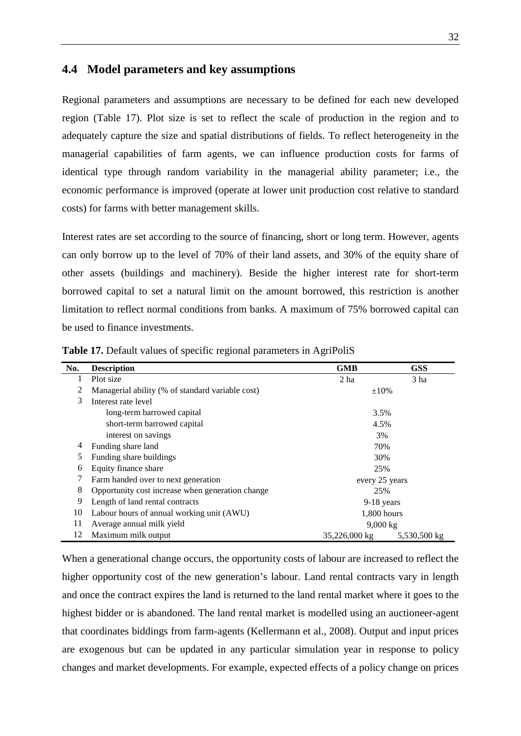### <span id="page-33-0"></span>**4.4 Model parameters and key assumptions**

Regional parameters and assumptions are necessary to be defined for each new developed region [\(Table 17\)](#page-33-1). Plot size is set to reflect the scale of production in the region and to adequately capture the size and spatial distributions of fields. To reflect heterogeneity in the managerial capabilities of farm agents, we can influence production costs for farms of identical type through random variability in the managerial ability parameter; i.e., the economic performance is improved (operate at lower unit production cost relative to standard costs) for farms with better management skills.

Interest rates are set according to the source of financing, short or long term. However, agents can only borrow up to the level of 70% of their land assets, and 30% of the equity share of other assets (buildings and machinery). Beside the higher interest rate for short-term borrowed capital to set a natural limit on the amount borrowed, this restriction is another limitation to reflect normal conditions from banks. A maximum of 75% borrowed capital can be used to finance investments.

| No. | <b>Description</b>                               | <b>GMB</b>         | <b>GSS</b>      |
|-----|--------------------------------------------------|--------------------|-----------------|
| 1   | Plot size                                        | 2 <sub>ha</sub>    | 3 <sub>ha</sub> |
| 2   | Managerial ability (% of standard variable cost) | $\pm 10\%$         |                 |
| 3   | Interest rate level                              |                    |                 |
|     | long-term barrowed capital                       | 3.5%               |                 |
|     | short-term barrowed capital                      | 4.5%               |                 |
|     | interest on savings                              | 3%                 |                 |
| 4   | Funding share land                               | 70%                |                 |
| 5   | Funding share buildings                          | 30%                |                 |
| 6   | Equity finance share                             | 25%                |                 |
|     | Farm handed over to next generation              | every 25 years     |                 |
| 8   | Opportunity cost increase when generation change | 25%                |                 |
| 9   | Length of land rental contracts                  | $9-18$ years       |                 |
| 10  | Labour hours of annual working unit (AWU)        | $1,800$ hours      |                 |
| 11  | Average annual milk yield                        | $9,000 \text{ kg}$ |                 |
| 12  | Maximum milk output                              | 35,226,000 kg      | 5,530,500 kg    |

<span id="page-33-1"></span>**Table 17.** Default values of specific regional parameters in AgriPoliS

When a generational change occurs, the opportunity costs of labour are increased to reflect the higher opportunity cost of the new generation's labour. Land rental contracts vary in length and once the contract expires the land is returned to the land rental market where it goes to the highest bidder or is abandoned. The land rental market is modelled using an auctioneer-agent that coordinates biddings from farm-agents (Kellermann et al., 2008). Output and input prices are exogenous but can be updated in any particular simulation year in response to policy changes and market developments. For example, expected effects of a policy change on prices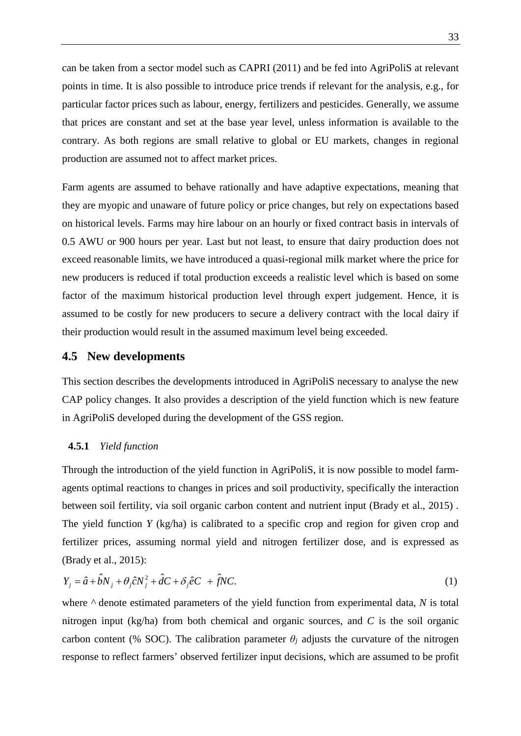can be taken from a sector model such as CAPRI (2011) and be fed into AgriPoliS at relevant points in time. It is also possible to introduce price trends if relevant for the analysis, e.g., for particular factor prices such as labour, energy, fertilizers and pesticides. Generally, we assume that prices are constant and set at the base year level, unless information is available to the contrary. As both regions are small relative to global or EU markets, changes in regional production are assumed not to affect market prices.

Farm agents are assumed to behave rationally and have adaptive expectations, meaning that they are myopic and unaware of future policy or price changes, but rely on expectations based on historical levels. Farms may hire labour on an hourly or fixed contract basis in intervals of 0.5 AWU or 900 hours per year. Last but not least, to ensure that dairy production does not exceed reasonable limits, we have introduced a quasi-regional milk market where the price for new producers is reduced if total production exceeds a realistic level which is based on some factor of the maximum historical production level through expert judgement. Hence, it is assumed to be costly for new producers to secure a delivery contract with the local dairy if their production would result in the assumed maximum level being exceeded.

### <span id="page-34-0"></span>**4.5 New developments**

This section describes the developments introduced in AgriPoliS necessary to analyse the new CAP policy changes. It also provides a description of the yield function which is new feature in AgriPoliS developed during the development of the GSS region.

#### <span id="page-34-1"></span>**4.5.1** *Yield function*

Through the introduction of the yield function in AgriPoliS, it is now possible to model farmagents optimal reactions to changes in prices and soil productivity, specifically the interaction between soil fertility, via soil organic carbon content and nutrient input (Brady et al., 2015) . The yield function *Y* (kg/ha) is calibrated to a specific crop and region for given crop and fertilizer prices, assuming normal yield and nitrogen fertilizer dose, and is expressed as (Brady et al., 2015):

$$
Y_j = \hat{a} + \hat{b}N_j + \theta_j \hat{c}N_j^2 + \hat{d}C + \delta_j \hat{e}C + \hat{f}NC.
$$
\n(1)

where  $\wedge$  denote estimated parameters of the yield function from experimental data, *N* is total nitrogen input (kg/ha) from both chemical and organic sources, and *C* is the soil organic carbon content (% SOC). The calibration parameter  $\theta_i$  adjusts the curvature of the nitrogen response to reflect farmers' observed fertilizer input decisions, which are assumed to be profit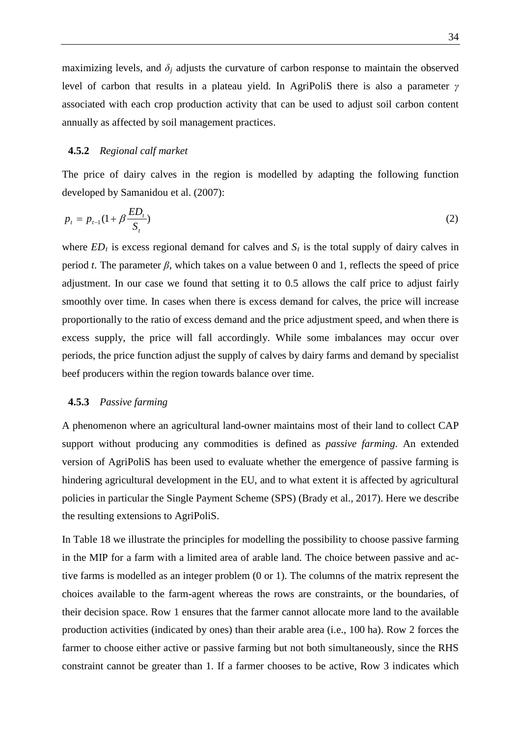maximizing levels, and  $\delta_i$  adjusts the curvature of carbon response to maintain the observed level of carbon that results in a plateau yield. In AgriPoliS there is also a parameter *γ* associated with each crop production activity that can be used to adjust soil carbon content annually as affected by soil management practices.

#### <span id="page-35-0"></span>**4.5.2** *Regional calf market*

The price of dairy calves in the region is modelled by adapting the following function developed by Samanidou et al. (2007):

$$
p_t = p_{t-1}(1 + \beta \frac{ED_t}{S_t})
$$
 (2)

where  $ED_t$  is excess regional demand for calves and  $S_t$  is the total supply of dairy calves in period *t*. The parameter  $\beta$ , which takes on a value between 0 and 1, reflects the speed of price adjustment. In our case we found that setting it to 0.5 allows the calf price to adjust fairly smoothly over time. In cases when there is excess demand for calves, the price will increase proportionally to the ratio of excess demand and the price adjustment speed, and when there is excess supply, the price will fall accordingly. While some imbalances may occur over periods, the price function adjust the supply of calves by dairy farms and demand by specialist beef producers within the region towards balance over time.

#### <span id="page-35-1"></span>**4.5.3** *Passive farming*

A phenomenon where an agricultural land-owner maintains most of their land to collect CAP support without producing any commodities is defined as *passive farming*. An extended version of AgriPoliS has been used to evaluate whether the emergence of passive farming is hindering agricultural development in the EU, and to what extent it is affected by agricultural policies in particular the Single Payment Scheme (SPS) (Brady et al., 2017). Here we describe the resulting extensions to AgriPoliS.

In [Table 18](#page-36-1) we illustrate the principles for modelling the possibility to choose passive farming in the MIP for a farm with a limited area of arable land. The choice between passive and active farms is modelled as an integer problem (0 or 1). The columns of the matrix represent the choices available to the farm-agent whereas the rows are constraints, or the boundaries, of their decision space. Row 1 ensures that the farmer cannot allocate more land to the available production activities (indicated by ones) than their arable area (i.e., 100 ha). Row 2 forces the farmer to choose either active or passive farming but not both simultaneously, since the RHS constraint cannot be greater than 1. If a farmer chooses to be active, Row 3 indicates which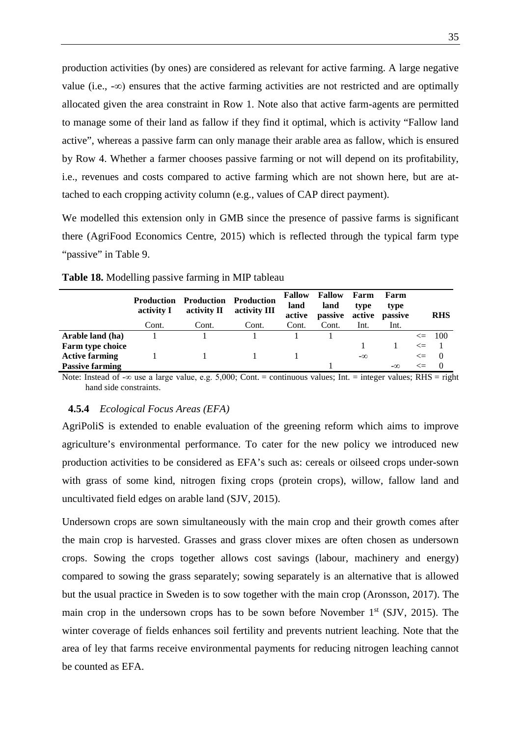production activities (by ones) are considered as relevant for active farming. A large negative value (i.e.,  $-\infty$ ) ensures that the active farming activities are not restricted and are optimally allocated given the area constraint in Row 1. Note also that active farm-agents are permitted to manage some of their land as fallow if they find it optimal, which is activity "Fallow land active", whereas a passive farm can only manage their arable area as fallow, which is ensured by Row 4. Whether a farmer chooses passive farming or not will depend on its profitability, i.e., revenues and costs compared to active farming which are not shown here, but are attached to each cropping activity column (e.g., values of CAP direct payment).

We modelled this extension only in GMB since the presence of passive farms is significant there (AgriFood Economics Centre, 2015) which is reflected through the typical farm type "passive" in [Table 9.](#page-17-0)

|                        | <b>Production</b><br>activity I | <b>Production Production</b><br>activity II | activity III | <b>Fallow</b><br>land<br>active | <b>Fallow</b><br>land<br>passive | Farm<br>type<br>active | Farm<br>type<br>passive |        | <b>RHS</b> |
|------------------------|---------------------------------|---------------------------------------------|--------------|---------------------------------|----------------------------------|------------------------|-------------------------|--------|------------|
|                        | Cont.                           | Cont.                                       | Cont.        | Cont.                           | Cont.                            | Int.                   | Int.                    |        |            |
| Arable land (ha)       |                                 |                                             |              |                                 |                                  |                        |                         |        | $\leq$ 100 |
| Farm type choice       |                                 |                                             |              |                                 |                                  |                        |                         | $\leq$ |            |
| <b>Active farming</b>  |                                 |                                             |              |                                 |                                  | $-\infty$              |                         | $\leq$ | $\bigcirc$ |
| <b>Passive farming</b> |                                 |                                             |              |                                 |                                  |                        | $-\infty$               | <=     | $\theta$   |

<span id="page-36-1"></span>**Table 18.** Modelling passive farming in MIP tableau

Note: Instead of -∞ use a large value, e.g. 5,000; Cont. = continuous values; Int. = integer values; RHS = right hand side constraints.

#### <span id="page-36-0"></span>**4.5.4** *Ecological Focus Areas (EFA)*

AgriPoliS is extended to enable evaluation of the greening reform which aims to improve agriculture's environmental performance. To cater for the new policy we introduced new production activities to be considered as EFA's such as: cereals or oilseed crops under-sown with grass of some kind, nitrogen fixing crops (protein crops), willow, fallow land and uncultivated field edges on arable land (SJV, 2015).

Undersown crops are sown simultaneously with the main crop and their growth comes after the main crop is harvested. Grasses and grass clover mixes are often chosen as undersown crops. Sowing the crops together allows cost savings (labour, machinery and energy) compared to sowing the grass separately; sowing separately is an alternative that is allowed but the usual practice in Sweden is to sow together with the main crop (Aronsson, 2017). The main crop in the undersown crops has to be sown before November  $1<sup>st</sup>$  (SJV, 2015). The winter coverage of fields enhances soil fertility and prevents nutrient leaching. Note that the area of ley that farms receive environmental payments for reducing nitrogen leaching cannot be counted as EFA.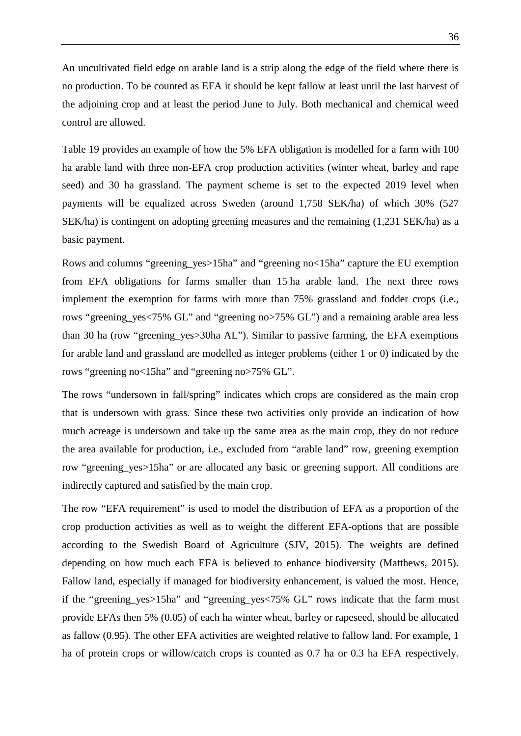An uncultivated field edge on arable land is a strip along the edge of the field where there is no production. To be counted as EFA it should be kept fallow at least until the last harvest of the adjoining crop and at least the period June to July. Both mechanical and chemical weed control are allowed.

[Table 19](#page-39-0) provides an example of how the 5% EFA obligation is modelled for a farm with 100 ha arable land with three non-EFA crop production activities (winter wheat, barley and rape seed) and 30 ha grassland. The payment scheme is set to the expected 2019 level when payments will be equalized across Sweden (around 1,758 SEK/ha) of which 30% (527 SEK/ha) is contingent on adopting greening measures and the remaining (1,231 SEK/ha) as a basic payment.

Rows and columns "greening\_yes>15ha" and "greening no<15ha" capture the EU exemption from EFA obligations for farms smaller than 15 ha arable land. The next three rows implement the exemption for farms with more than 75% grassland and fodder crops (i.e., rows "greening\_yes<75% GL" and "greening no>75% GL") and a remaining arable area less than 30 ha (row "greening\_yes>30ha AL"). Similar to passive farming, the EFA exemptions for arable land and grassland are modelled as integer problems (either 1 or 0) indicated by the rows "greening no<15ha" and "greening no>75% GL".

The rows "undersown in fall/spring" indicates which crops are considered as the main crop that is undersown with grass. Since these two activities only provide an indication of how much acreage is undersown and take up the same area as the main crop, they do not reduce the area available for production, i.e., excluded from "arable land" row, greening exemption row "greening\_yes>15ha" or are allocated any basic or greening support. All conditions are indirectly captured and satisfied by the main crop.

The row "EFA requirement" is used to model the distribution of EFA as a proportion of the crop production activities as well as to weight the different EFA-options that are possible according to the Swedish Board of Agriculture (SJV, 2015). The weights are defined depending on how much each EFA is believed to enhance biodiversity (Matthews, 2015). Fallow land, especially if managed for biodiversity enhancement, is valued the most. Hence, if the "greening\_yes>15ha" and "greening\_yes<75% GL" rows indicate that the farm must provide EFAs then 5% (0.05) of each ha winter wheat, barley or rapeseed, should be allocated as fallow (0.95). The other EFA activities are weighted relative to fallow land. For example, 1 ha of protein crops or willow/catch crops is counted as 0.7 ha or 0.3 ha EFA respectively.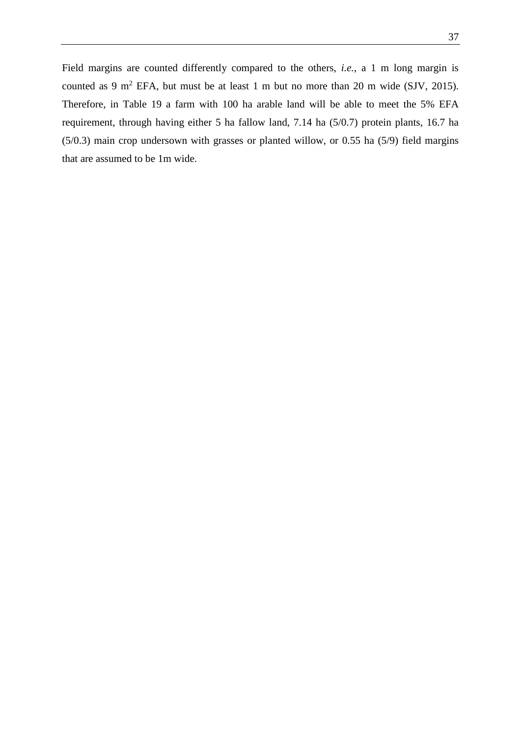Field margins are counted differently compared to the others, *i.e.*, a 1 m long margin is counted as 9 m<sup>2</sup> EFA, but must be at least 1 m but no more than 20 m wide (SJV, 2015). Therefore, in [Table 19](#page-39-0) a farm with 100 ha arable land will be able to meet the 5% EFA requirement, through having either 5 ha fallow land, 7.14 ha (5/0.7) protein plants, 16.7 ha (5/0.3) main crop undersown with grasses or planted willow, or 0.55 ha (5/9) field margins that are assumed to be 1m wide.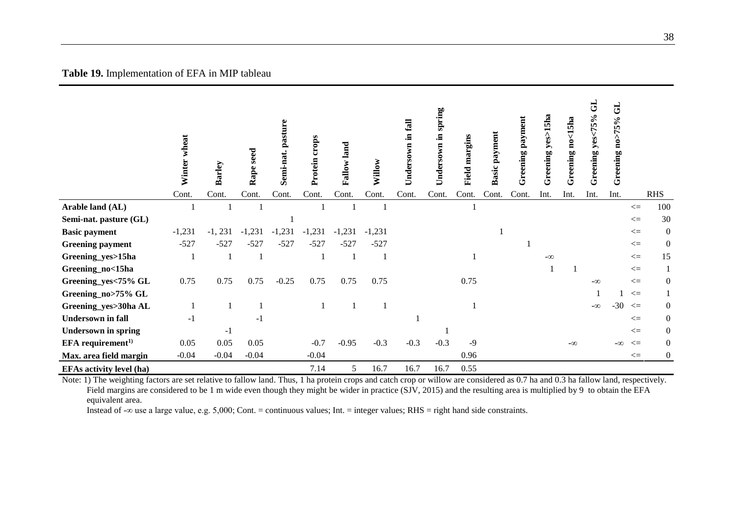|                                 | wheat<br>Winter | Barley    | seed<br>Rape | Le<br>pastur<br>Semi-nat. | crops<br>Protein | allow land<br>œ | Willow   | Undersown in fall | spring<br>.트<br>Undersown | margins<br>Field | payment<br>asic<br>≃ | Greening payment | Greening yes>15ha | reening no<15ha<br>ڻ | 5<br>yes<75%<br>reening<br>ڻ | <b>GL</b><br>Greening no>75% |              |                  |
|---------------------------------|-----------------|-----------|--------------|---------------------------|------------------|-----------------|----------|-------------------|---------------------------|------------------|----------------------|------------------|-------------------|----------------------|------------------------------|------------------------------|--------------|------------------|
|                                 | Cont.           | Cont.     | Cont.        | Cont.                     | Cont.            | Cont.           | Cont.    | Cont.             | Cont.                     | Cont.            | Cont.                | Cont.            | Int.              | Int.                 | Int.                         | Int.                         |              | <b>RHS</b>       |
| Arable land (AL)                |                 |           |              |                           |                  |                 |          |                   |                           |                  |                      |                  |                   |                      |                              |                              | $\Leftarrow$ | 100              |
| Semi-nat. pasture (GL)          |                 |           |              |                           |                  |                 |          |                   |                           |                  |                      |                  |                   |                      |                              |                              | $\leq$       | 30               |
| <b>Basic payment</b>            | $-1,231$        | $-1, 231$ | $-1,231$     | $-1,231$                  | $-1,231$         | $-1,231$        | $-1,231$ |                   |                           |                  |                      |                  |                   |                      |                              |                              | $\Leftarrow$ | $\mathbf{0}$     |
| <b>Greening payment</b>         | $-527$          | $-527$    | $-527$       | $-527$                    | $-527$           | $-527$          | $-527$   |                   |                           |                  |                      |                  |                   |                      |                              |                              | $\leq$       | $\mathbf{0}$     |
| Greening_yes>15ha               |                 |           |              |                           |                  |                 |          |                   |                           |                  |                      |                  | $-\infty$         |                      |                              |                              | $\leq$       | 15               |
| Greening_no<15ha                |                 |           |              |                           |                  |                 |          |                   |                           |                  |                      |                  |                   |                      |                              |                              | $\leq$       | $\mathbf{1}$     |
| Greening_yes<75% GL             | 0.75            | 0.75      | 0.75         | $-0.25$                   | 0.75             | 0.75            | 0.75     |                   |                           | 0.75             |                      |                  |                   |                      | $-\infty$                    |                              | $\leq$       | $\mathbf{0}$     |
| Greening_no>75% GL              |                 |           |              |                           |                  |                 |          |                   |                           |                  |                      |                  |                   |                      |                              |                              | $\leq$       | 1                |
| Greening_yes>30ha AL            |                 |           |              |                           |                  |                 |          |                   |                           |                  |                      |                  |                   |                      | $-\infty$                    | $-30$                        | $\leq$       | $\overline{0}$   |
| <b>Undersown</b> in fall        | $-1$            |           | $-1$         |                           |                  |                 |          |                   |                           |                  |                      |                  |                   |                      |                              |                              | $\leq$       | $\mathbf{0}$     |
| <b>Undersown in spring</b>      |                 | $-1$      |              |                           |                  |                 |          |                   |                           |                  |                      |                  |                   |                      |                              |                              | $\leq$       | $\boldsymbol{0}$ |
| $EFA$ requirement <sup>1)</sup> | 0.05            | 0.05      | 0.05         |                           | $-0.7$           | $-0.95$         | $-0.3$   | $-0.3$            | $-0.3$                    | $-9$             |                      |                  |                   | $-\infty$            |                              | $-\infty$                    | $\leq$       | $\overline{0}$   |
| Max. area field margin          | $-0.04$         | $-0.04$   | $-0.04$      |                           | $-0.04$          |                 |          |                   |                           | 0.96             |                      |                  |                   |                      |                              |                              | $\leq$       | $\overline{0}$   |
| <b>EFAs activity level (ha)</b> |                 |           |              |                           | 7.14             | 5               | 16.7     | 16.7              | 16.7                      | 0.55             |                      |                  |                   |                      |                              |                              |              |                  |

**Table 19.** Implementation of EFA in MIP tableau

<span id="page-39-0"></span>Note: 1) The weighting factors are set relative to fallow land. Thus, 1 ha protein crops and catch crop or willow are considered as 0.7 ha and 0.3 ha fallow land, respectively. Field margins are considered to be 1 m wide even though they might be wider in practice (SJV, 2015) and the resulting area is multiplied by 9 to obtain the EFA equivalent area.

Instead of -∞ use a large value, e.g. 5,000; Cont. = continuous values; Int. = integer values; RHS = right hand side constraints.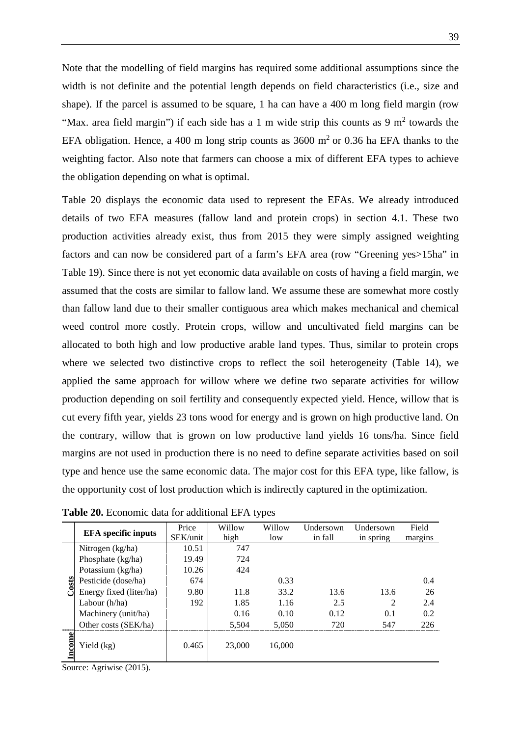Note that the modelling of field margins has required some additional assumptions since the width is not definite and the potential length depends on field characteristics (i.e., size and shape). If the parcel is assumed to be square, 1 ha can have a 400 m long field margin (row "Max. area field margin") if each side has a 1 m wide strip this counts as 9  $m<sup>2</sup>$  towards the EFA obligation. Hence, a 400 m long strip counts as  $3600 \text{ m}^2$  or 0.36 ha EFA thanks to the weighting factor. Also note that farmers can choose a mix of different EFA types to achieve the obligation depending on what is optimal.

[Table 20](#page-40-0) displays the economic data used to represent the EFAs. We already introduced details of two EFA measures (fallow land and protein crops) in section [4.1.](#page-25-0) These two production activities already exist, thus from 2015 they were simply assigned weighting factors and can now be considered part of a farm's EFA area (row "Greening yes>15ha" in [Table 19\)](#page-39-0). Since there is not yet economic data available on costs of having a field margin, we assumed that the costs are similar to fallow land. We assume these are somewhat more costly than fallow land due to their smaller contiguous area which makes mechanical and chemical weed control more costly. Protein crops, willow and uncultivated field margins can be allocated to both high and low productive arable land types. Thus, similar to protein crops where we selected two distinctive crops to reflect the soil heterogeneity [\(Table 14\)](#page-27-0), we applied the same approach for willow where we define two separate activities for willow production depending on soil fertility and consequently expected yield. Hence, willow that is cut every fifth year, yields 23 tons wood for energy and is grown on high productive land. On the contrary, willow that is grown on low productive land yields 16 tons/ha. Since field margins are not used in production there is no need to define separate activities based on soil type and hence use the same economic data. The major cost for this EFA type, like fallow, is the opportunity cost of lost production which is indirectly captured in the optimization.

|        | <b>EFA</b> specific inputs | Price    | Willow | Willow | Undersown | Undersown      | Field   |
|--------|----------------------------|----------|--------|--------|-----------|----------------|---------|
|        |                            | SEK/unit | high   | low    | in fall   | in spring      | margins |
|        | Nitrogen (kg/ha)           | 10.51    | 747    |        |           |                |         |
|        | Phosphate (kg/ha)          | 19.49    | 724    |        |           |                |         |
|        | Potassium (kg/ha)          | 10.26    | 424    |        |           |                |         |
| osts   | Pesticide (dose/ha)        | 674      |        | 0.33   |           |                | 0.4     |
|        | Energy fixed (liter/ha)    | 9.80     | 11.8   | 33.2   | 13.6      | 13.6           | 26      |
|        | Labour $(h/ha)$            | 192      | 1.85   | 1.16   | 2.5       | $\mathfrak{D}$ | 2.4     |
|        | Machinery (unit/ha)        |          | 0.16   | 0.10   | 0.12      | 0.1            | 0.2     |
|        | Other costs (SEK/ha)       |          | 5,504  | 5,050  | 720       | 547            | 226     |
| Income | Yield (kg)                 | 0.465    | 23,000 | 16,000 |           |                |         |

<span id="page-40-0"></span>**Table 20.** Economic data for additional EFA types

Source: Agriwise (2015).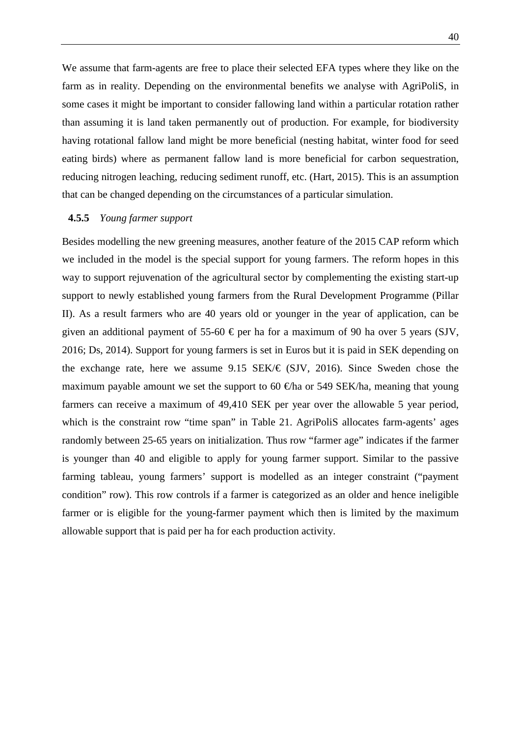We assume that farm-agents are free to place their selected EFA types where they like on the farm as in reality. Depending on the environmental benefits we analyse with AgriPoliS, in some cases it might be important to consider fallowing land within a particular rotation rather than assuming it is land taken permanently out of production. For example, for biodiversity having rotational fallow land might be more beneficial (nesting habitat, winter food for seed eating birds) where as permanent fallow land is more beneficial for carbon sequestration, reducing nitrogen leaching, reducing sediment runoff, etc. (Hart, 2015). This is an assumption that can be changed depending on the circumstances of a particular simulation.

#### <span id="page-41-0"></span>**4.5.5** *Young farmer support*

Besides modelling the new greening measures, another feature of the 2015 CAP reform which we included in the model is the special support for young farmers. The reform hopes in this way to support rejuvenation of the agricultural sector by complementing the existing start-up support to newly established young farmers from the Rural Development Programme (Pillar II). As a result farmers who are 40 years old or younger in the year of application, can be given an additional payment of 55-60  $\epsilon$  per ha for a maximum of 90 ha over 5 years (SJV, 2016; Ds, 2014). Support for young farmers is set in Euros but it is paid in SEK depending on the exchange rate, here we assume 9.15 SEK/ $\in$  (SJV, 2016). Since Sweden chose the maximum payable amount we set the support to 60  $\oplus$ ha or 549 SEK/ha, meaning that young farmers can receive a maximum of 49,410 SEK per year over the allowable 5 year period, which is the constraint row "time span" in [Table 21.](#page-42-1) AgriPoliS allocates farm-agents' ages randomly between 25-65 years on initialization. Thus row "farmer age" indicates if the farmer is younger than 40 and eligible to apply for young farmer support. Similar to the passive farming tableau, young farmers' support is modelled as an integer constraint ("payment condition" row). This row controls if a farmer is categorized as an older and hence ineligible farmer or is eligible for the young-farmer payment which then is limited by the maximum allowable support that is paid per ha for each production activity.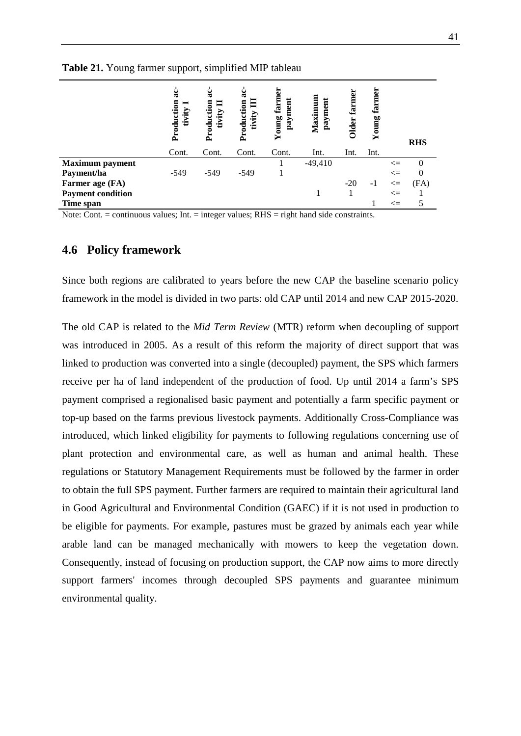<span id="page-42-1"></span>

|  | <b>Table 21.</b> Young farmer support, simplified MIP tableau |
|--|---------------------------------------------------------------|
|--|---------------------------------------------------------------|

|                          | åĆ<br>Production<br>⊨<br>tivity | ೩<br>Production<br>tivity | ä<br>Production<br>目<br>tivity | ដ<br><b>Young farm</b><br>payment | Maximun<br>payment | farm<br><b>Older</b> | farmer<br>Young |        |            |
|--------------------------|---------------------------------|---------------------------|--------------------------------|-----------------------------------|--------------------|----------------------|-----------------|--------|------------|
|                          |                                 |                           |                                |                                   |                    |                      |                 |        | <b>RHS</b> |
|                          | Cont.                           | Cont.                     | Cont.                          | Cont.                             | Int.               | Int.                 | Int.            |        |            |
| <b>Maximum</b> payment   |                                 |                           |                                |                                   | $-49,410$          |                      |                 | $\leq$ | 0          |
| Payment/ha               | $-549$                          | $-549$                    | $-549$                         |                                   |                    |                      |                 | $\leq$ | 0          |
| Farmer age (FA)          |                                 |                           |                                |                                   |                    | $-20$                | $-1$            | $\leq$ | (FA)       |
| <b>Payment condition</b> |                                 |                           |                                |                                   |                    |                      |                 | $\leq$ |            |
| Time span                |                                 |                           |                                |                                   |                    |                      |                 | $\leq$ |            |

Note: Cont. = continuous values; Int. = integer values; RHS = right hand side constraints.

### <span id="page-42-0"></span>**4.6 Policy framework**

Since both regions are calibrated to years before the new CAP the baseline scenario policy framework in the model is divided in two parts: old CAP until 2014 and new CAP 2015-2020.

The old CAP is related to the *Mid Term Review* (MTR) reform when decoupling of support was introduced in 2005. As a result of this reform the majority of direct support that was linked to production was converted into a single (decoupled) payment, the SPS which farmers receive per ha of land independent of the production of food. Up until 2014 a farm's SPS payment comprised a regionalised basic payment and potentially a farm specific payment or top-up based on the farms previous livestock payments. Additionally Cross-Compliance was introduced, which linked eligibility for payments to following regulations concerning use of plant protection and environmental care, as well as human and animal health. These regulations or Statutory Management Requirements must be followed by the farmer in order to obtain the full SPS payment. Further farmers are required to maintain their agricultural land in Good Agricultural and Environmental Condition (GAEC) if it is not used in production to be eligible for payments. For example, pastures must be grazed by animals each year while arable land can be managed mechanically with mowers to keep the vegetation down. Consequently, instead of focusing on production support, the CAP now aims to more directly support farmers' incomes through decoupled SPS payments and guarantee minimum environmental quality.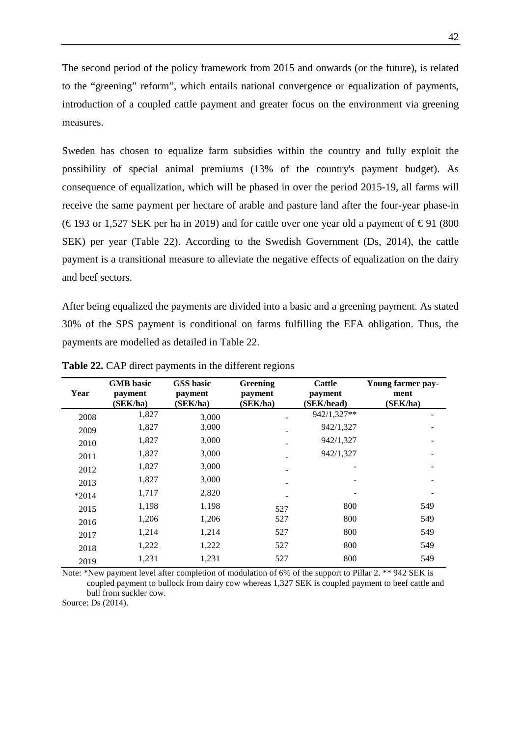The second period of the policy framework from 2015 and onwards (or the future), is related to the "greening" reform", which entails national convergence or equalization of payments, introduction of a coupled cattle payment and greater focus on the environment via greening measures.

Sweden has chosen to equalize farm subsidies within the country and fully exploit the possibility of special animal premiums (13% of the country's payment budget). As consequence of equalization, which will be phased in over the period 2015-19, all farms will receive the same payment per hectare of arable and pasture land after the four-year phase-in (€193 or 1,527 SEK per ha in 2019) and for cattle over one year old a payment of €91 (800 SEK) per year [\(Table 22\)](#page-43-0). According to the Swedish Government (Ds, 2014), the cattle payment is a transitional measure to alleviate the negative effects of equalization on the dairy and beef sectors.

After being equalized the payments are divided into a basic and a greening payment. As stated 30% of the SPS payment is conditional on farms fulfilling the EFA obligation. Thus, the payments are modelled as detailed in [Table 22.](#page-43-0)

| Year    | <b>GMB</b> basic<br>payment<br>(SEK/ha) | <b>GSS</b> basic<br>payment<br>(SEK/ha) | Greening<br>payment<br>(SEK/ha) | <b>Cattle</b><br>payment<br>(SEK/head) | Young farmer pay-<br>ment<br>(SEK/ha) |
|---------|-----------------------------------------|-----------------------------------------|---------------------------------|----------------------------------------|---------------------------------------|
| 2008    | 1,827                                   | 3,000                                   |                                 | 942/1,327**                            |                                       |
| 2009    | 1,827                                   | 3,000                                   |                                 | 942/1,327                              |                                       |
| 2010    | 1,827                                   | 3,000                                   |                                 | 942/1,327                              |                                       |
| 2011    | 1,827                                   | 3,000                                   |                                 | 942/1,327                              |                                       |
| 2012    | 1,827                                   | 3,000                                   |                                 |                                        |                                       |
| 2013    | 1,827                                   | 3,000                                   |                                 |                                        |                                       |
| $*2014$ | 1,717                                   | 2,820                                   |                                 |                                        |                                       |
| 2015    | 1,198                                   | 1,198                                   | 527                             | 800                                    | 549                                   |
| 2016    | 1,206                                   | 1,206                                   | 527                             | 800                                    | 549                                   |
| 2017    | 1,214                                   | 1,214                                   | 527                             | 800                                    | 549                                   |
| 2018    | 1,222                                   | 1,222                                   | 527                             | 800                                    | 549                                   |
| 2019    | 1,231                                   | 1,231                                   | 527                             | 800                                    | 549                                   |

<span id="page-43-0"></span>**Table 22.** CAP direct payments in the different regions

Note: \*New payment level after completion of modulation of 6% of the support to Pillar 2. \*\* 942 SEK is coupled payment to bullock from dairy cow whereas 1,327 SEK is coupled payment to beef cattle and bull from suckler cow.

Source: Ds (2014).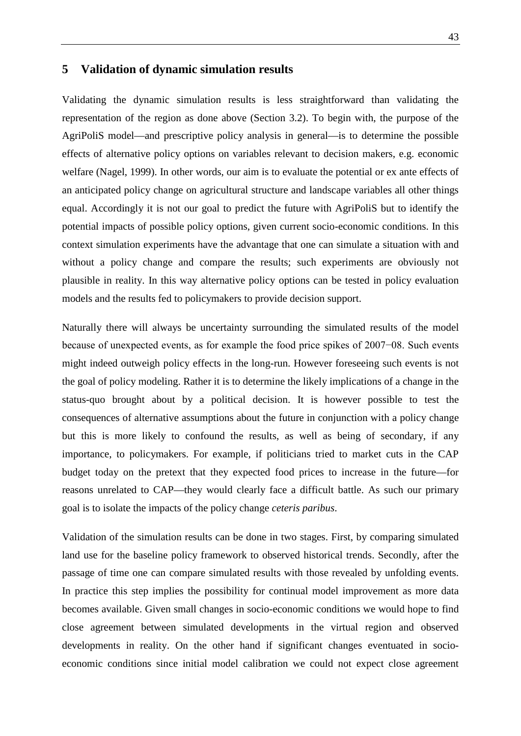### <span id="page-44-0"></span>**5 Validation of dynamic simulation results**

Validating the dynamic simulation results is less straightforward than validating the representation of the region as done above (Section 3.2). To begin with, the purpose of the AgriPoliS model—and prescriptive policy analysis in general—is to determine the possible effects of alternative policy options on variables relevant to decision makers, e.g. economic welfare (Nagel, 1999). In other words, our aim is to evaluate the potential or ex ante effects of an anticipated policy change on agricultural structure and landscape variables all other things equal. Accordingly it is not our goal to predict the future with AgriPoliS but to identify the potential impacts of possible policy options, given current socio-economic conditions. In this context simulation experiments have the advantage that one can simulate a situation with and without a policy change and compare the results; such experiments are obviously not plausible in reality. In this way alternative policy options can be tested in policy evaluation models and the results fed to policymakers to provide decision support.

Naturally there will always be uncertainty surrounding the simulated results of the model because of unexpected events, as for example the food price spikes of 2007−08. Such events might indeed outweigh policy effects in the long-run. However foreseeing such events is not the goal of policy modeling. Rather it is to determine the likely implications of a change in the status-quo brought about by a political decision. It is however possible to test the consequences of alternative assumptions about the future in conjunction with a policy change but this is more likely to confound the results, as well as being of secondary, if any importance, to policymakers. For example, if politicians tried to market cuts in the CAP budget today on the pretext that they expected food prices to increase in the future—for reasons unrelated to CAP—they would clearly face a difficult battle. As such our primary goal is to isolate the impacts of the policy change *ceteris paribus*.

Validation of the simulation results can be done in two stages. First, by comparing simulated land use for the baseline policy framework to observed historical trends. Secondly, after the passage of time one can compare simulated results with those revealed by unfolding events. In practice this step implies the possibility for continual model improvement as more data becomes available. Given small changes in socio-economic conditions we would hope to find close agreement between simulated developments in the virtual region and observed developments in reality. On the other hand if significant changes eventuated in socioeconomic conditions since initial model calibration we could not expect close agreement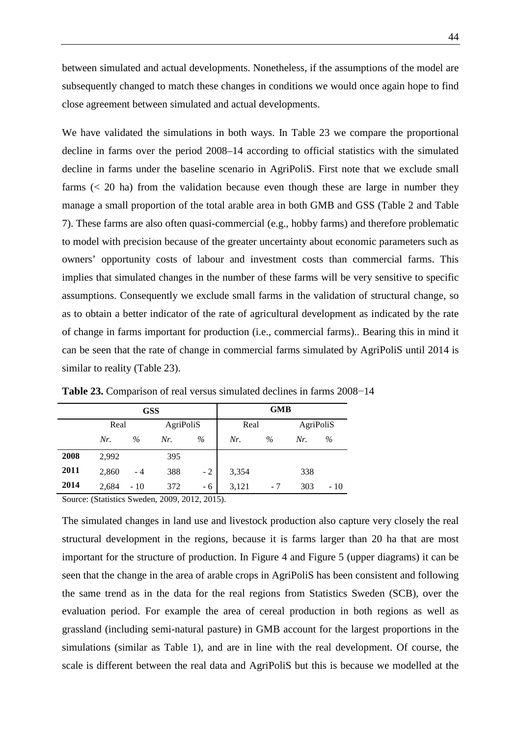between simulated and actual developments. Nonetheless, if the assumptions of the model are subsequently changed to match these changes in conditions we would once again hope to find close agreement between simulated and actual developments.

We have validated the simulations in both ways. In [Table 23](#page-45-0) we compare the proportional decline in farms over the period 2008–14 according to official statistics with the simulated decline in farms under the baseline scenario in AgriPoliS. First note that we exclude small farms  $( $20 \text{ ha}$ )$  from the validation because even though these are large in number they manage a small proportion of the total arable area in both GMB and GSS [\(Table 2](#page-10-0) and [Table](#page-13-2)  [7\)](#page-13-2). These farms are also often quasi-commercial (e.g., hobby farms) and therefore problematic to model with precision because of the greater uncertainty about economic parameters such as owners' opportunity costs of labour and investment costs than commercial farms. This implies that simulated changes in the number of these farms will be very sensitive to specific assumptions. Consequently we exclude small farms in the validation of structural change, so as to obtain a better indicator of the rate of agricultural development as indicated by the rate of change in farms important for production (i.e., commercial farms).. Bearing this in mind it can be seen that the rate of change in commercial farms simulated by AgriPoliS until 2014 is similar to reality [\(Table 23\)](#page-45-0).

|      |       | <b>GSS</b> |           | <b>GMB</b> |       |      |           |      |
|------|-------|------------|-----------|------------|-------|------|-----------|------|
|      | Real  |            | AgriPoliS |            | Real  |      | AgriPoliS |      |
|      | Nr.   | $\%$       | Nr.       | $\%$       | Nr.   | $\%$ | Nr.       | $\%$ |
| 2008 | 2,992 |            | 395       |            |       |      |           |      |
| 2011 | 2,860 | $-4$       | 388       | $-2$       | 3,354 |      | 338       |      |
| 2014 | 2,684 | $-10$      | 372       | - 6        | 3,121 | - 7  | 303       | - 10 |

<span id="page-45-0"></span>**Table 23.** Comparison of real versus simulated declines in farms 2008−14

Source: (Statistics Sweden, 2009, 2012, 2015).

The simulated changes in land use and livestock production also capture very closely the real structural development in the regions, because it is farms larger than 20 ha that are most important for the structure of production. In [Figure 4](#page-47-0) and [Figure 5](#page-48-0) (upper diagrams) it can be seen that the change in the area of arable crops in AgriPoliS has been consistent and following the same trend as in the data for the real regions from Statistics Sweden (SCB), over the evaluation period. For example the area of cereal production in both regions as well as grassland (including semi-natural pasture) in GMB account for the largest proportions in the simulations (similar as [Table 1\)](#page-8-0), and are in line with the real development. Of course, the scale is different between the real data and AgriPoliS but this is because we modelled at the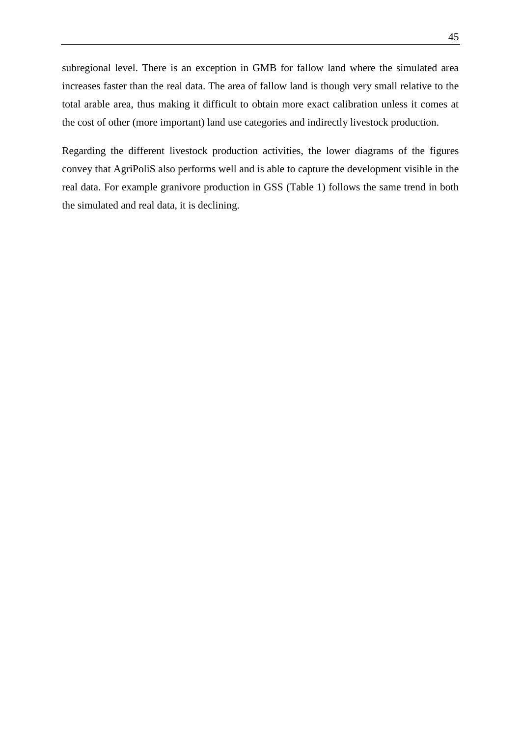subregional level. There is an exception in GMB for fallow land where the simulated area increases faster than the real data. The area of fallow land is though very small relative to the total arable area, thus making it difficult to obtain more exact calibration unless it comes at the cost of other (more important) land use categories and indirectly livestock production.

Regarding the different livestock production activities, the lower diagrams of the figures convey that AgriPoliS also performs well and is able to capture the development visible in the real data. For example granivore production in GSS [\(Table 1\)](#page-8-0) follows the same trend in both the simulated and real data, it is declining.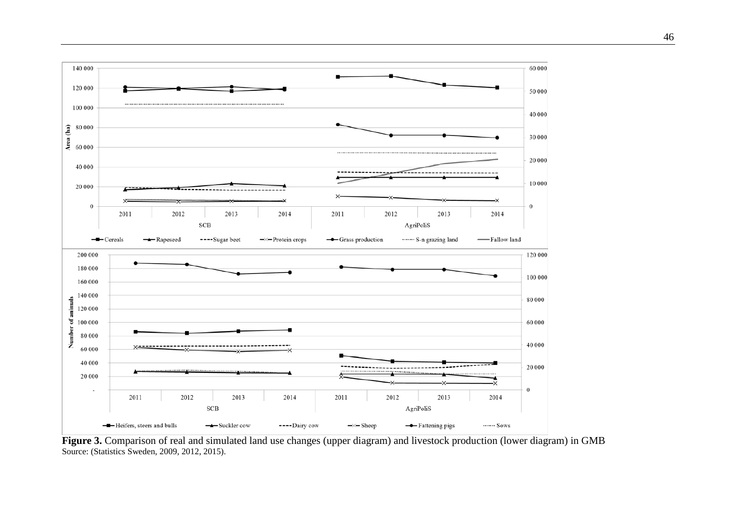

<span id="page-47-0"></span>**Figure 3.** Comparison of real and simulated land use changes (upper diagram) and livestock production (lower diagram) in GMB Source: (Statistics Sweden, 2009, 2012, 2015).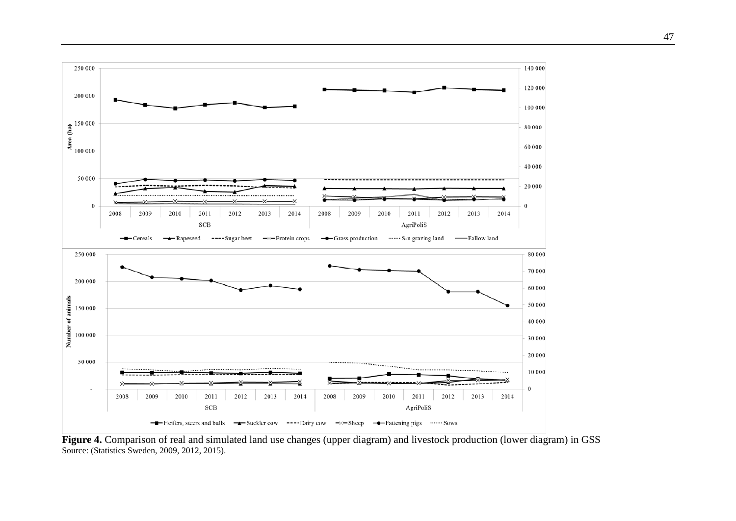

<span id="page-48-0"></span>Figure 4. Comparison of real and simulated land use changes (upper diagram) and livestock production (lower diagram) in GSS Source: (Statistics Sweden, 2009, 2012, 2015).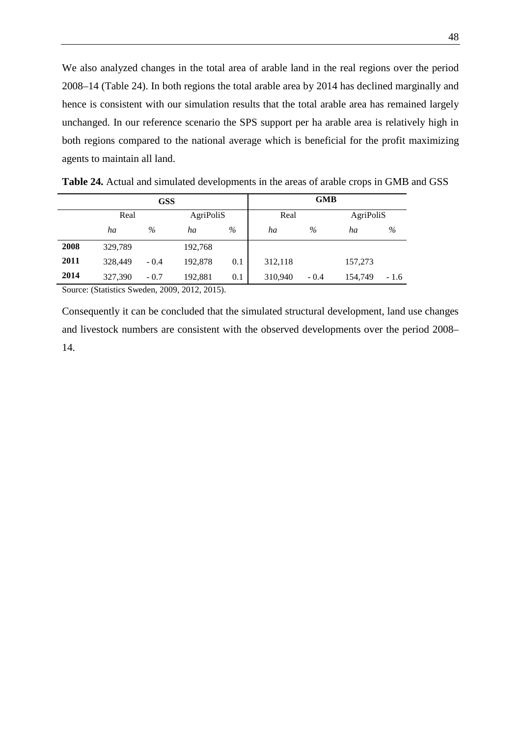We also analyzed changes in the total area of arable land in the real regions over the period 2008–14 [\(Table 24\)](#page-49-0). In both regions the total arable area by 2014 has declined marginally and hence is consistent with our simulation results that the total arable area has remained largely unchanged. In our reference scenario the SPS support per ha arable area is relatively high in both regions compared to the national average which is beneficial for the profit maximizing agents to maintain all land.

| GSS  |         |        |           | <b>GMB</b> |         |        |           |        |
|------|---------|--------|-----------|------------|---------|--------|-----------|--------|
|      | Real    |        | AgriPoliS |            | Real    |        | AgriPoliS |        |
|      | ha      | $\%$   | ha        | $\%$       | ha      | $\%$   | ha        | %      |
| 2008 | 329,789 |        | 192,768   |            |         |        |           |        |
| 2011 | 328,449 | $-0.4$ | 192,878   | 0.1        | 312,118 |        | 157,273   |        |
| 2014 | 327,390 | $-0.7$ | 192,881   | 0.1        | 310,940 | $-0.4$ | 154,749   | $-1.6$ |

<span id="page-49-0"></span>**Table 24.** Actual and simulated developments in the areas of arable crops in GMB and GSS

Source: (Statistics Sweden, 2009, 2012, 2015).

Consequently it can be concluded that the simulated structural development, land use changes and livestock numbers are consistent with the observed developments over the period 2008– 14.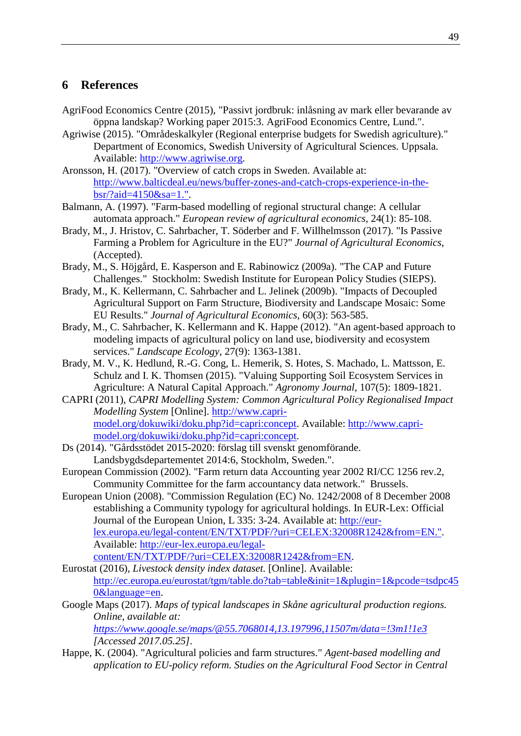### <span id="page-50-0"></span>**6 References**

- AgriFood Economics Centre (2015), "Passivt jordbruk: inlåsning av mark eller bevarande av öppna landskap? Working paper 2015:3. AgriFood Economics Centre, Lund.".
- Agriwise (2015). "Områdeskalkyler (Regional enterprise budgets for Swedish agriculture)." Department of Economics, Swedish University of Agricultural Sciences. Uppsala. Available: [http://www.agriwise.org.](http://www.agriwise.org/)
- Aronsson, H. (2017). "Overview of catch crops in Sweden. Available at: [http://www.balticdeal.eu/news/buffer-zones-and-catch-crops-experience-in-the](http://www.balticdeal.eu/news/buffer-zones-and-catch-crops-experience-in-the-bsr/?aid=4150&sa=1.%22)[bsr/?aid=4150&sa=1.".](http://www.balticdeal.eu/news/buffer-zones-and-catch-crops-experience-in-the-bsr/?aid=4150&sa=1.%22)
- Balmann, A. (1997). "Farm-based modelling of regional structural change: A cellular automata approach." *European review of agricultural economics*, 24(1): 85-108.
- Brady, M., J. Hristov, C. Sahrbacher, T. Söderber and F. Willhelmsson (2017). "Is Passive Farming a Problem for Agriculture in the EU?" *Journal of Agricultural Economics*, (Accepted).
- Brady, M., S. Höjgård, E. Kasperson and E. Rabinowicz (2009a). "The CAP and Future Challenges." Stockholm: Swedish Institute for European Policy Studies (SIEPS).
- Brady, M., K. Kellermann, C. Sahrbacher and L. Jelinek (2009b). "Impacts of Decoupled Agricultural Support on Farm Structure, Biodiversity and Landscape Mosaic: Some EU Results." *Journal of Agricultural Economics*, 60(3): 563-585.
- Brady, M., C. Sahrbacher, K. Kellermann and K. Happe (2012). "An agent-based approach to modeling impacts of agricultural policy on land use, biodiversity and ecosystem services." *Landscape Ecology*, 27(9): 1363-1381.
- Brady, M. V., K. Hedlund, R.-G. Cong, L. Hemerik, S. Hotes, S. Machado, L. Mattsson, E. Schulz and I. K. Thomsen (2015). "Valuing Supporting Soil Ecosystem Services in Agriculture: A Natural Capital Approach." *Agronomy Journal*, 107(5): 1809-1821.
- CAPRI (2011), *CAPRI Modelling System: Common Agricultural Policy Regionalised Impact Modelling System* [Online]. [http://www.capri](http://www.capri-model.org/dokuwiki/doku.php?id=capri:concept)[model.org/dokuwiki/doku.php?id=capri:concept.](http://www.capri-model.org/dokuwiki/doku.php?id=capri:concept) Available: [http://www.capri](http://www.capri-model.org/dokuwiki/doku.php?id=capri:concept)[model.org/dokuwiki/doku.php?id=capri:concept.](http://www.capri-model.org/dokuwiki/doku.php?id=capri:concept)
- Ds (2014). "Gårdsstödet 2015-2020: förslag till svenskt genomförande. Landsbygdsdepartementet 2014:6, Stockholm, Sweden.".
- European Commission (2002). "Farm return data Accounting year 2002 RI/CC 1256 rev.2, Community Committee for the farm accountancy data network." Brussels.
- European Union (2008). "Commission Regulation (EC) No. 1242/2008 of 8 December 2008 establishing a Community typology for agricultural holdings. In EUR-Lex: Official Journal of the European Union, L 335: 3-24. Available at: [http://eur](http://eur-lex.europa.eu/legal-content/EN/TXT/PDF/?uri=CELEX:32008R1242&from=EN.%22)[lex.europa.eu/legal-content/EN/TXT/PDF/?uri=CELEX:32008R1242&from=EN.".](http://eur-lex.europa.eu/legal-content/EN/TXT/PDF/?uri=CELEX:32008R1242&from=EN.%22) Available: [http://eur-lex.europa.eu/legal](http://eur-lex.europa.eu/legal-content/EN/TXT/PDF/?uri=CELEX:32008R1242&from=EN)[content/EN/TXT/PDF/?uri=CELEX:32008R1242&from=EN.](http://eur-lex.europa.eu/legal-content/EN/TXT/PDF/?uri=CELEX:32008R1242&from=EN)
- Eurostat (2016), *Livestock density index dataset.* [Online]. Available: [http://ec.europa.eu/eurostat/tgm/table.do?tab=table&init=1&plugin=1&pcode=tsdpc45](http://ec.europa.eu/eurostat/tgm/table.do?tab=table&init=1&plugin=1&pcode=tsdpc450&language=en) [0&language=en.](http://ec.europa.eu/eurostat/tgm/table.do?tab=table&init=1&plugin=1&pcode=tsdpc450&language=en)
- Google Maps (2017). *Maps of typical landscapes in Skåne agricultural production regions. Online, available at:*

*<https://www.google.se/maps/@55.7068014,13.197996,11507m/data=!3m1!1e3> [Accessed 2017.05.25].*

Happe, K. (2004). "Agricultural policies and farm structures." *Agent-based modelling and application to EU-policy reform. Studies on the Agricultural Food Sector in Central*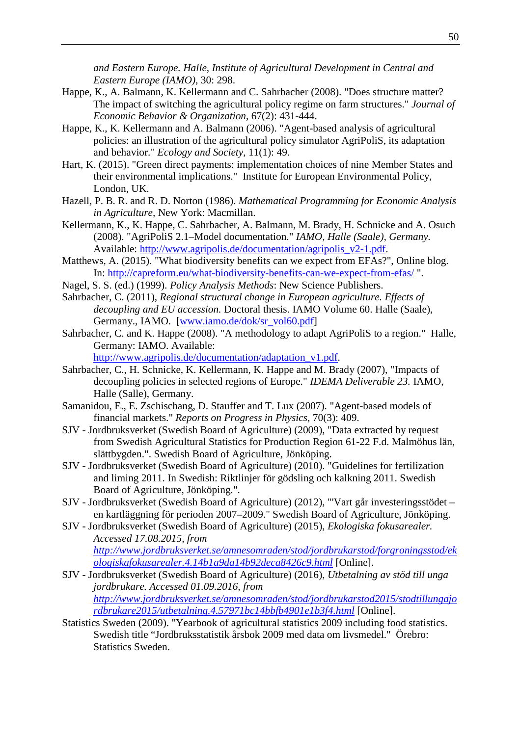*and Eastern Europe. Halle, Institute of Agricultural Development in Central and Eastern Europe (IAMO)*, 30: 298.

- Happe, K., A. Balmann, K. Kellermann and C. Sahrbacher (2008). "Does structure matter? The impact of switching the agricultural policy regime on farm structures." *Journal of Economic Behavior & Organization*, 67(2): 431-444.
- Happe, K., K. Kellermann and A. Balmann (2006). "Agent-based analysis of agricultural policies: an illustration of the agricultural policy simulator AgriPoliS, its adaptation and behavior." *Ecology and Society*, 11(1): 49.
- Hart, K. (2015). "Green direct payments: implementation choices of nine Member States and their environmental implications." Institute for European Environmental Policy, London, UK.
- Hazell, P. B. R. and R. D. Norton (1986). *Mathematical Programming for Economic Analysis in Agriculture,* New York: Macmillan.
- Kellermann, K., K. Happe, C. Sahrbacher, A. Balmann, M. Brady, H. Schnicke and A. Osuch (2008). "AgriPoliS 2.1–Model documentation." *IAMO, Halle (Saale), Germany.* Available: [http://www.agripolis.de/documentation/agripolis\\_v2-1.pdf.](http://www.agripolis.de/documentation/agripolis_v2-1.pdf)
- Matthews, A. (2015). "What biodiversity benefits can we expect from EFAs?", Online blog. In:<http://capreform.eu/what-biodiversity-benefits-can-we-expect-from-efas/> ".
- Nagel, S. S. (ed.) (1999). *Policy Analysis Methods*: New Science Publishers.
- Sahrbacher, C. (2011), *Regional structural change in European agriculture. Effects of decoupling and EU accession.* Doctoral thesis. IAMO Volume 60. Halle (Saale), Germany., IAMO. [\[www.iamo.de/dok/sr\\_vol60.pdf\]](http://www.iamo.de/dok/sr_vol60.pdf)
- Sahrbacher, C. and K. Happe (2008). "A methodology to adapt AgriPoliS to a region." Halle, Germany: IAMO. Available:

[http://www.agripolis.de/documentation/adaptation\\_v1.pdf.](http://www.agripolis.de/documentation/adaptation_v1.pdf)

- Sahrbacher, C., H. Schnicke, K. Kellermann, K. Happe and M. Brady (2007), "Impacts of decoupling policies in selected regions of Europe." *IDEMA Deliverable 23.* IAMO, Halle (Salle), Germany.
- Samanidou, E., E. Zschischang, D. Stauffer and T. Lux (2007). "Agent-based models of financial markets." *Reports on Progress in Physics*, 70(3): 409.
- SJV Jordbruksverket (Swedish Board of Agriculture) (2009), "Data extracted by request from Swedish Agricultural Statistics for Production Region 61-22 F.d. Malmöhus län, slättbygden.". Swedish Board of Agriculture, Jönköping.
- SJV Jordbruksverket (Swedish Board of Agriculture) (2010). "Guidelines for fertilization and liming 2011. In Swedish: Riktlinjer för gödsling och kalkning 2011. Swedish Board of Agriculture, Jönköping.".
- SJV Jordbruksverket (Swedish Board of Agriculture) (2012), "'Vart går investeringsstödet en kartläggning för perioden 2007–2009." Swedish Board of Agriculture, Jönköping.
- SJV Jordbruksverket (Swedish Board of Agriculture) (2015), *Ekologiska fokusarealer. Accessed 17.08.2015, from [http://www.jordbruksverket.se/amnesomraden/stod/jordbrukarstod/forgroningsstod/ek](http://www.jordbruksverket.se/amnesomraden/stod/jordbrukarstod/forgroningsstod/ekologiskafokusarealer.4.14b1a9da14b92deca8426c9.html) [ologiskafokusarealer.4.14b1a9da14b92deca8426c9.html](http://www.jordbruksverket.se/amnesomraden/stod/jordbrukarstod/forgroningsstod/ekologiskafokusarealer.4.14b1a9da14b92deca8426c9.html)* [Online].
- SJV Jordbruksverket (Swedish Board of Agriculture) (2016), *Utbetalning av stöd till unga jordbrukare. Accessed 01.09.2016, from [http://www.jordbruksverket.se/amnesomraden/stod/jordbrukarstod2015/stodtillungajo](http://www.jordbruksverket.se/amnesomraden/stod/jordbrukarstod2015/stodtillungajordbrukare2015/utbetalning.4.57971bc14bbfb4901e1b3f4.html) [rdbrukare2015/utbetalning.4.57971bc14bbfb4901e1b3f4.html](http://www.jordbruksverket.se/amnesomraden/stod/jordbrukarstod2015/stodtillungajordbrukare2015/utbetalning.4.57971bc14bbfb4901e1b3f4.html)* [Online].
- Statistics Sweden (2009). "Yearbook of agricultural statistics 2009 including food statistics. Swedish title "Jordbruksstatistik årsbok 2009 med data om livsmedel." Örebro: Statistics Sweden.